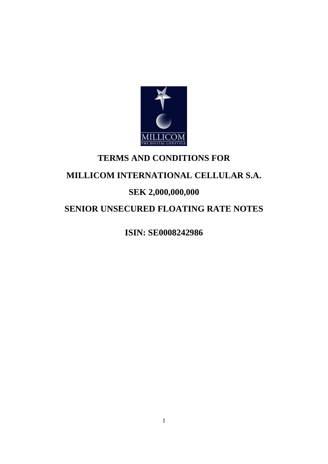

# **TERMS AND CONDITIONS FOR**

# **MILLICOM INTERNATIONAL CELLULAR S.A.**

# **SEK 2,000,000,000**

# **SENIOR UNSECURED FLOATING RATE NOTES**

**ISIN: SE0008242986**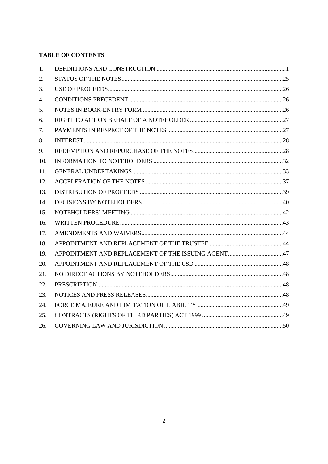# **TABLE OF CONTENTS**

| 1.  |  |
|-----|--|
| 2.  |  |
| 3.  |  |
| 4.  |  |
| 5.  |  |
| 6.  |  |
| 7.  |  |
| 8.  |  |
| 9.  |  |
| 10. |  |
| 11. |  |
| 12. |  |
| 13. |  |
| 14. |  |
| 15. |  |
| 16. |  |
| 17. |  |
| 18. |  |
| 19. |  |
| 20. |  |
| 21. |  |
| 22. |  |
| 23. |  |
| 24. |  |
| 25. |  |
| 26. |  |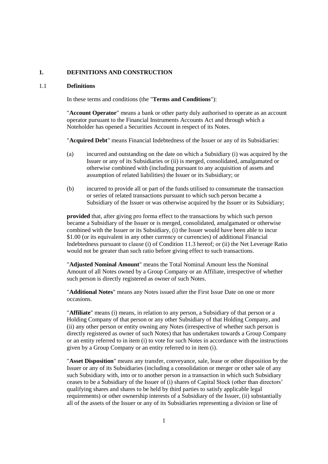# **1. DEFINITIONS AND CONSTRUCTION**

#### 1.1 **Definitions**

In these terms and conditions (the "**Terms and Conditions**"):

"**Account Operator**" means a bank or other party duly authorised to operate as an account operator pursuant to the Financial Instruments Accounts Act and through which a Noteholder has opened a Securities Account in respect of its Notes.

"**Acquired Debt**" means Financial Indebtedness of the Issuer or any of its Subsidiaries:

- (a) incurred and outstanding on the date on which a Subsidiary (i) was acquired by the Issuer or any of its Subsidiaries or (ii) is merged, consolidated, amalgamated or otherwise combined with (including pursuant to any acquisition of assets and assumption of related liabilities) the Issuer or its Subsidiary; or
- (b) incurred to provide all or part of the funds utilised to consummate the transaction or series of related transactions pursuant to which such person became a Subsidiary of the Issuer or was otherwise acquired by the Issuer or its Subsidiary;

**provided** that, after giving pro forma effect to the transactions by which such person became a Subsidiary of the Issuer or is merged, consolidated, amalgamated or otherwise combined with the Issuer or its Subsidiary, (i) the Issuer would have been able to incur \$1.00 (or its equivalent in any other currency or currencies) of additional Financial Indebtedness pursuant to clause (i) of Condition [11.3](#page-35-0) hereof; or (ii) the Net Leverage Ratio would not be greater than such ratio before giving effect to such transactions.

"**Adjusted Nominal Amount**" means the Total Nominal Amount less the Nominal Amount of all Notes owned by a Group Company or an Affiliate, irrespective of whether such person is directly registered as owner of such Notes.

"**Additional Notes**" means any Notes issued after the First Issue Date on one or more occasions.

"**Affiliate**" means (i) means, in relation to any person, a Subsidiary of that person or a Holding Company of that person or any other Subsidiary of that Holding Company, and (ii) any other person or entity owning any Notes (irrespective of whether such person is directly registered as owner of such Notes) that has undertaken towards a Group Company or an entity referred to in item (i) to vote for such Notes in accordance with the instructions given by a Group Company or an entity referred to in item (i).

"**Asset Disposition**" means any transfer, conveyance, sale, lease or other disposition by the Issuer or any of its Subsidiaries (including a consolidation or merger or other sale of any such Subsidiary with, into or to another person in a transaction in which such Subsidiary ceases to be a Subsidiary of the Issuer of (i) shares of Capital Stock (other than directors' qualifying shares and shares to be held by third parties to satisfy applicable legal requirements) or other ownership interests of a Subsidiary of the Issuer, (ii) substantially all of the assets of the Issuer or any of its Subsidiaries representing a division or line of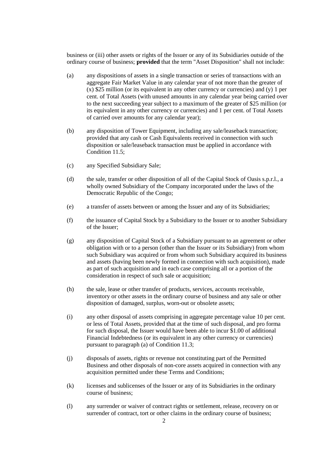business or (iii) other assets or rights of the Issuer or any of its Subsidiaries outside of the ordinary course of business; **provided** that the term "Asset Disposition" shall not include:

- (a) any dispositions of assets in a single transaction or series of transactions with an aggregate Fair Market Value in any calendar year of not more than the greater of  $(x)$  \$25 million (or its equivalent in any other currency or currencies) and (y) 1 per cent. of Total Assets (with unused amounts in any calendar year being carried over to the next succeeding year subject to a maximum of the greater of \$25 million (or its equivalent in any other currency or currencies) and 1 per cent. of Total Assets of carried over amounts for any calendar year);
- (b) any disposition of Tower Equipment, including any sale/leaseback transaction; provided that any cash or Cash Equivalents received in connection with such disposition or sale/leaseback transaction must be applied in accordance with Condition [11.5;](#page-35-1)
- (c) any Specified Subsidiary Sale;
- (d) the sale, transfer or other disposition of all of the Capital Stock of Oasis s.p.r.l., a wholly owned Subsidiary of the Company incorporated under the laws of the Democratic Republic of the Congo;
- (e) a transfer of assets between or among the Issuer and any of its Subsidiaries;
- (f) the issuance of Capital Stock by a Subsidiary to the Issuer or to another Subsidiary of the Issuer;
- (g) any disposition of Capital Stock of a Subsidiary pursuant to an agreement or other obligation with or to a person (other than the Issuer or its Subsidiary) from whom such Subsidiary was acquired or from whom such Subsidiary acquired its business and assets (having been newly formed in connection with such acquisition), made as part of such acquisition and in each case comprising all or a portion of the consideration in respect of such sale or acquisition;
- (h) the sale, lease or other transfer of products, services, accounts receivable, inventory or other assets in the ordinary course of business and any sale or other disposition of damaged, surplus, worn-out or obsolete assets;
- (i) any other disposal of assets comprising in aggregate percentage value 10 per cent. or less of Total Assets, provided that at the time of such disposal, and pro forma for such disposal, the Issuer would have been able to incur \$1.00 of additional Financial Indebtedness (or its equivalent in any other currency or currencies) pursuant to paragraph [\(a\)](#page-35-2) of Conditio[n 11.3;](#page-35-0)
- (j) disposals of assets, rights or revenue not constituting part of the Permitted Business and other disposals of non-core assets acquired in connection with any acquisition permitted under these Terms and Conditions;
- (k) licenses and sublicenses of the Issuer or any of its Subsidiaries in the ordinary course of business;
- (l) any surrender or waiver of contract rights or settlement, release, recovery on or surrender of contract, tort or other claims in the ordinary course of business;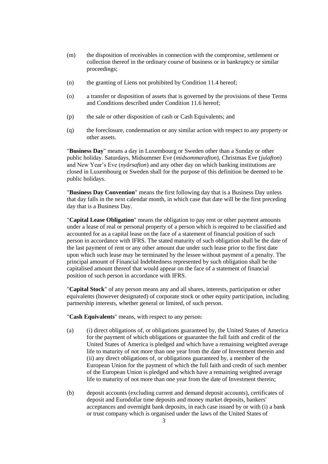- (m) the disposition of receivables in connection with the compromise, settlement or collection thereof in the ordinary course of business or in bankruptcy or similar proceedings;
- (n) the granting of Liens not prohibited by Condition [11.4](#page-35-3) hereof;
- (o) a transfer or disposition of assets that is governed by the provisions of these Terms and Conditions described under Condition [11.6](#page-37-0) hereof;
- (p) the sale or other disposition of cash or Cash Equivalents; and
- (q) the foreclosure, condemnation or any similar action with respect to any property or other assets.

"**Business Day**" means a day in Luxembourg or Sweden other than a Sunday or other public holiday. Saturdays, Midsummer Eve (*midsommarafton*), Christmas Eve (*julafton*) and New Year's Eve (*nyårsafton*) and any other day on which banking institutions are closed in Luxembourg or Sweden shall for the purpose of this definition be deemed to be public holidays.

"**Business Day Convention**" means the first following day that is a Business Day unless that day falls in the next calendar month, in which case that date will be the first preceding day that is a Business Day.

"**Capital Lease Obligation**" means the obligation to pay rent or other payment amounts under a lease of real or personal property of a person which is required to be classified and accounted for as a capital lease on the face of a statement of financial position of such person in accordance with IFRS. The stated maturity of such obligation shall be the date of the last payment of rent or any other amount due under such lease prior to the first date upon which such lease may be terminated by the lessee without payment of a penalty. The principal amount of Financial Indebtedness represented by such obligation shall be the capitalised amount thereof that would appear on the face of a statement of financial position of such person in accordance with IFRS.

"**Capital Stock**" of any person means any and all shares, interests, participation or other equivalents (however designated) of corporate stock or other equity participation, including partnership interests, whether general or limited, of such person.

"**Cash Equivalents**" means, with respect to any person:

- (a) (i) direct obligations of, or obligations guaranteed by, the United States of America for the payment of which obligations or guarantee the full faith and credit of the United States of America is pledged and which have a remaining weighted average life to maturity of not more than one year from the date of Investment therein and (ii) any direct obligations of, or obligations guaranteed by, a member of the European Union for the payment of which the full faith and credit of such member of the European Union is pledged and which have a remaining weighted average life to maturity of not more than one year from the date of Investment therein;
- (b) deposit accounts (excluding current and demand deposit accounts), certificates of deposit and Eurodollar time deposits and money market deposits, bankers' acceptances and overnight bank deposits, in each case issued by or with (i) a bank or trust company which is organised under the laws of the United States of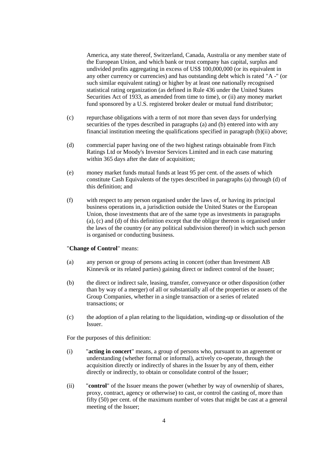America, any state thereof, Switzerland, Canada, Australia or any member state of the European Union, and which bank or trust company has capital, surplus and undivided profits aggregating in excess of US\$ 100,000,000 (or its equivalent in any other currency or currencies) and has outstanding debt which is rated "A -" (or such similar equivalent rating) or higher by at least one nationally recognised statistical rating organization (as defined in Rule 436 under the United States Securities Act of 1933, as amended from time to time), or (ii) any money market fund sponsored by a U.S. registered broker dealer or mutual fund distributor;

- (c) repurchase obligations with a term of not more than seven days for underlying securities of the types described in paragraphs (a) and (b) entered into with any financial institution meeting the qualifications specified in paragraph (b)(ii) above;
- (d) commercial paper having one of the two highest ratings obtainable from Fitch Ratings Ltd or Moody's Investor Services Limited and in each case maturing within 365 days after the date of acquisition;
- (e) money market funds mutual funds at least 95 per cent. of the assets of which constitute Cash Equivalents of the types described in paragraphs (a) through (d) of this definition; and
- (f) with respect to any person organised under the laws of, or having its principal business operations in, a jurisdiction outside the United States or the European Union, those investments that are of the same type as investments in paragraphs (a), (c) and (d) of this definition except that the obligor thereon is organised under the laws of the country (or any political subdivision thereof) in which such person is organised or conducting business.

#### "**Change of Control**" means:

- (a) any person or group of persons acting in concert (other than Investment AB Kinnevik or its related parties) gaining direct or indirect control of the Issuer;
- (b) the direct or indirect sale, leasing, transfer, conveyance or other disposition (other than by way of a merger) of all or substantially all of the properties or assets of the Group Companies, whether in a single transaction or a series of related transactions; or
- (c) the adoption of a plan relating to the liquidation, winding-up or dissolution of the Issuer.

For the purposes of this definition:

- (i) "**acting in concert**" means, a group of persons who, pursuant to an agreement or understanding (whether formal or informal), actively co-operate, through the acquisition directly or indirectly of shares in the Issuer by any of them, either directly or indirectly, to obtain or consolidate control of the Issuer;
- (ii) "**control**" of the Issuer means the power (whether by way of ownership of shares, proxy, contract, agency or otherwise) to cast, or control the casting of, more than fifty (50) per cent. of the maximum number of votes that might be cast at a general meeting of the Issuer;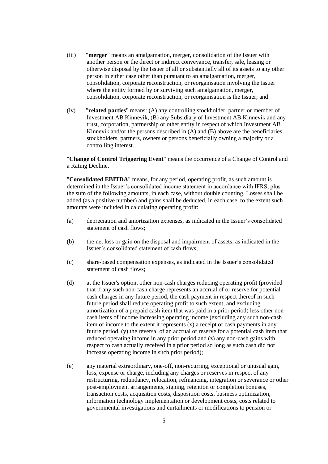- (iii) "**merger**" means an amalgamation, merger, consolidation of the Issuer with another person or the direct or indirect conveyance, transfer, sale, leasing or otherwise disposal by the Issuer of all or substantially all of its assets to any other person in either case other than pursuant to an amalgamation, merger, consolidation, corporate reconstruction, or reorganisation involving the Issuer where the entity formed by or surviving such amalgamation, merger, consolidation, corporate reconstruction, or reorganisation is the Issuer; and
- (iv) "**related parties**" means: (A) any controlling stockholder, partner or member of Investment AB Kinnevik, (B) any Subsidiary of Investment AB Kinnevik and any trust, corporation, partnership or other entity in respect of which Investment AB Kinnevik and/or the persons described in (A) and (B) above are the beneficiaries, stockholders, partners, owners or persons beneficially owning a majority or a controlling interest.

"**Change of Control Triggering Event**" means the occurrence of a Change of Control and a Rating Decline.

"**Consolidated EBITDA**" means, for any period, operating profit, as such amount is determined in the Issuer's consolidated income statement in accordance with IFRS, plus the sum of the following amounts, in each case, without double counting. Losses shall be added (as a positive number) and gains shall be deducted, in each case, to the extent such amounts were included in calculating operating profit:

- (a) depreciation and amortization expenses, as indicated in the Issuer's consolidated statement of cash flows;
- (b) the net loss or gain on the disposal and impairment of assets, as indicated in the Issuer's consolidated statement of cash flows;
- (c) share-based compensation expenses, as indicated in the Issuer's consolidated statement of cash flows;
- (d) at the Issuer's option, other non-cash charges reducing operating profit (provided that if any such non-cash charge represents an accrual of or reserve for potential cash charges in any future period, the cash payment in respect thereof in such future period shall reduce operating profit to such extent, and excluding amortization of a prepaid cash item that was paid in a prior period) less other noncash items of income increasing operating income (excluding any such non-cash item of income to the extent it represents (x) a receipt of cash payments in any future period, (y) the reversal of an accrual or reserve for a potential cash item that reduced operating income in any prior period and (z) any non-cash gains with respect to cash actually received in a prior period so long as such cash did not increase operating income in such prior period);
- (e) any material extraordinary, one-off, non-recurring, exceptional or unusual gain, loss, expense or charge, including any charges or reserves in respect of any restructuring, redundancy, relocation, refinancing, integration or severance or other post-employment arrangements, signing, retention or completion bonuses, transaction costs, acquisition costs, disposition costs, business optimization, information technology implementation or development costs, costs related to governmental investigations and curtailments or modifications to pension or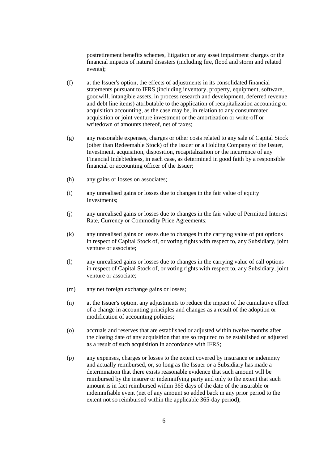postretirement benefits schemes, litigation or any asset impairment charges or the financial impacts of natural disasters (including fire, flood and storm and related events);

- (f) at the Issuer's option, the effects of adjustments in its consolidated financial statements pursuant to IFRS (including inventory, property, equipment, software, goodwill, intangible assets, in process research and development, deferred revenue and debt line items) attributable to the application of recapitalization accounting or acquisition accounting, as the case may be, in relation to any consummated acquisition or joint venture investment or the amortization or write-off or writedown of amounts thereof, net of taxes;
- (g) any reasonable expenses, charges or other costs related to any sale of Capital Stock (other than Redeemable Stock) of the Issuer or a Holding Company of the Issuer, Investment, acquisition, disposition, recapitalization or the incurrence of any Financial Indebtedness, in each case, as determined in good faith by a responsible financial or accounting officer of the Issuer;
- (h) any gains or losses on associates;
- (i) any unrealised gains or losses due to changes in the fair value of equity Investments;
- (j) any unrealised gains or losses due to changes in the fair value of Permitted Interest Rate, Currency or Commodity Price Agreements;
- (k) any unrealised gains or losses due to changes in the carrying value of put options in respect of Capital Stock of, or voting rights with respect to, any Subsidiary, joint venture or associate;
- (l) any unrealised gains or losses due to changes in the carrying value of call options in respect of Capital Stock of, or voting rights with respect to, any Subsidiary, joint venture or associate;
- (m) any net foreign exchange gains or losses;
- (n) at the Issuer's option, any adjustments to reduce the impact of the cumulative effect of a change in accounting principles and changes as a result of the adoption or modification of accounting policies;
- (o) accruals and reserves that are established or adjusted within twelve months after the closing date of any acquisition that are so required to be established or adjusted as a result of such acquisition in accordance with IFRS;
- (p) any expenses, charges or losses to the extent covered by insurance or indemnity and actually reimbursed, or, so long as the Issuer or a Subsidiary has made a determination that there exists reasonable evidence that such amount will be reimbursed by the insurer or indemnifying party and only to the extent that such amount is in fact reimbursed within 365 days of the date of the insurable or indemnifiable event (net of any amount so added back in any prior period to the extent not so reimbursed within the applicable 365-day period);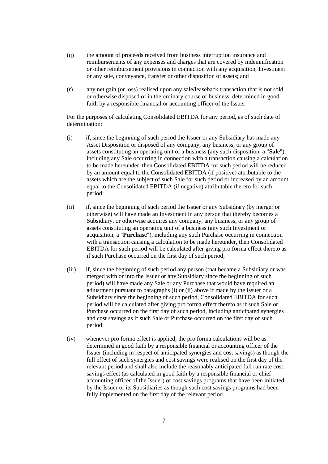- (q) the amount of proceeds received from business interruption insurance and reimbursements of any expenses and charges that are covered by indemnification or other reimbursement provisions in connection with any acquisition, Investment or any sale, conveyance, transfer or other disposition of assets; and
- (r) any net gain (or loss) realised upon any sale/leaseback transaction that is not sold or otherwise disposed of in the ordinary course of business, determined in good faith by a responsible financial or accounting officer of the Issuer.

For the purposes of calculating Consolidated EBITDA for any period, as of such date of determination:

- (i) if, since the beginning of such period the Issuer or any Subsidiary has made any Asset Disposition or disposed of any company, any business, or any group of assets constituting an operating unit of a business (any such disposition, a "**Sale**"), including any Sale occurring in connection with a transaction causing a calculation to be made hereunder, then Consolidated EBITDA for such period will be reduced by an amount equal to the Consolidated EBITDA (if positive) attributable to the assets which are the subject of such Sale for such period or increased by an amount equal to the Consolidated EBITDA (if negative) attributable thereto for such period;
- (ii) if, since the beginning of such period the Issuer or any Subsidiary (by merger or otherwise) will have made an Investment in any person that thereby becomes a Subsidiary, or otherwise acquires any company, any business, or any group of assets constituting an operating unit of a business (any such Investment or acquisition, a "**Purchase**"), including any such Purchase occurring in connection with a transaction causing a calculation to be made hereunder, then Consolidated EBITDA for such period will be calculated after giving pro forma effect thereto as if such Purchase occurred on the first day of such period;
- (iii) if, since the beginning of such period any person (that became a Subsidiary or was merged with or into the Issuer or any Subsidiary since the beginning of such period) will have made any Sale or any Purchase that would have required an adjustment pursuant to paragraphs (i) or (ii) above if made by the Issuer or a Subsidiary since the beginning of such period, Consolidated EBITDA for such period will be calculated after giving pro forma effect thereto as if such Sale or Purchase occurred on the first day of such period, including anticipated synergies and cost savings as if such Sale or Purchase occurred on the first day of such period;
- (iv) whenever pro forma effect is applied, the pro forma calculations will be as determined in good faith by a responsible financial or accounting officer of the Issuer (including in respect of anticipated synergies and cost savings) as though the full effect of such synergies and cost savings were realised on the first day of the relevant period and shall also include the reasonably anticipated full run rate cost savings effect (as calculated in good faith by a responsible financial or chief accounting officer of the Issuer) of cost savings programs that have been initiated by the Issuer or its Subsidiaries as though such cost savings programs had been fully implemented on the first day of the relevant period.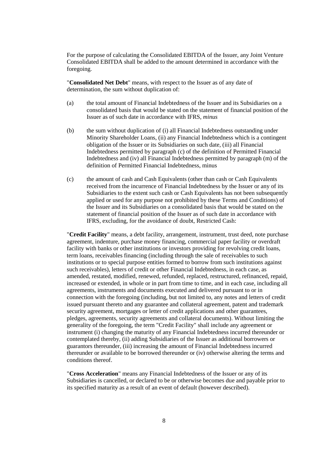For the purpose of calculating the Consolidated EBITDA of the Issuer, any Joint Venture Consolidated EBITDA shall be added to the amount determined in accordance with the foregoing.

"**Consolidated Net Debt**" means, with respect to the Issuer as of any date of determination, the sum without duplication of:

- (a) the total amount of Financial Indebtedness of the Issuer and its Subsidiaries on a consolidated basis that would be stated on the statement of financial position of the Issuer as of such date in accordance with IFRS, *minus*
- (b) the sum without duplication of (i) all Financial Indebtedness outstanding under Minority Shareholder Loans, (ii) any Financial Indebtedness which is a contingent obligation of the Issuer or its Subsidiaries on such date, (iii) all Financial Indebtedness permitted by paragraph (c) of the definition of Permitted Financial Indebtedness and (iv) all Financial Indebtedness permitted by paragraph (m) of the definition of Permitted Financial Indebtedness, minus
- (c) the amount of cash and Cash Equivalents (other than cash or Cash Equivalents received from the incurrence of Financial Indebtedness by the Issuer or any of its Subsidiaries to the extent such cash or Cash Equivalents has not been subsequently applied or used for any purpose not prohibited by these Terms and Conditions) of the Issuer and its Subsidiaries on a consolidated basis that would be stated on the statement of financial position of the Issuer as of such date in accordance with IFRS, excluding, for the avoidance of doubt, Restricted Cash:

"**Credit Facility**" means, a debt facility, arrangement, instrument, trust deed, note purchase agreement, indenture, purchase money financing, commercial paper facility or overdraft facility with banks or other institutions or investors providing for revolving credit loans, term loans, receivables financing (including through the sale of receivables to such institutions or to special purpose entities formed to borrow from such institutions against such receivables), letters of credit or other Financial Indebtedness, in each case, as amended, restated, modified, renewed, refunded, replaced, restructured, refinanced, repaid, increased or extended, in whole or in part from time to time, and in each case, including all agreements, instruments and documents executed and delivered pursuant to or in connection with the foregoing (including, but not limited to, any notes and letters of credit issued pursuant thereto and any guarantee and collateral agreement, patent and trademark security agreement, mortgages or letter of credit applications and other guarantees, pledges, agreements, security agreements and collateral documents). Without limiting the generality of the foregoing, the term "Credit Facility" shall include any agreement or instrument (i) changing the maturity of any Financial Indebtedness incurred thereunder or contemplated thereby, (ii) adding Subsidiaries of the Issuer as additional borrowers or guarantors thereunder, (iii) increasing the amount of Financial Indebtedness incurred thereunder or available to be borrowed thereunder or (iv) otherwise altering the terms and conditions thereof.

"**Cross Acceleration**" means any Financial Indebtedness of the Issuer or any of its Subsidiaries is cancelled, or declared to be or otherwise becomes due and payable prior to its specified maturity as a result of an event of default (however described).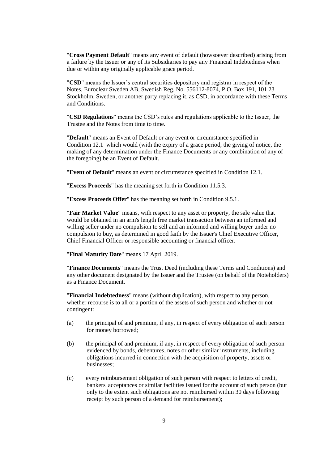"**Cross Payment Default**" means any event of default (howsoever described) arising from a failure by the Issuer or any of its Subsidiaries to pay any Financial Indebtedness when due or within any originally applicable grace period.

"**CSD**" means the Issuer's central securities depository and registrar in respect of the Notes, Euroclear Sweden AB, Swedish Reg. No. 556112-8074, P.O. Box 191, 101 23 Stockholm, Sweden, or another party replacing it, as CSD, in accordance with these Terms and Conditions.

"**CSD Regulations**" means the CSD's rules and regulations applicable to the Issuer, the Trustee and the Notes from time to time.

"**Default**" means an Event of Default or any event or circumstance specified in Condition [12.1](#page-38-0) which would (with the expiry of a grace period, the giving of notice, the making of any determination under the Finance Documents or any combination of any of the foregoing) be an Event of Default.

"**Event of Default**" means an event or circumstance specified in Condition [12.1.](#page-38-0)

"**Excess Proceeds**" has the meaning set forth in Condition [11.5.3.](#page-37-1)

"**Excess Proceeds Offer**" has the meaning set forth in Condition [9.5.1.](#page-30-0)

"**Fair Market Value**" means, with respect to any asset or property, the sale value that would be obtained in an arm's length free market transaction between an informed and willing seller under no compulsion to sell and an informed and willing buyer under no compulsion to buy, as determined in good faith by the Issuer's Chief Executive Officer, Chief Financial Officer or responsible accounting or financial officer.

"**Final Maturity Date**" means 17 April 2019.

"**Finance Documents**" means the Trust Deed (including these Terms and Conditions) and any other document designated by the Issuer and the Trustee (on behalf of the Noteholders) as a Finance Document.

"**Financial Indebtedness**" means (without duplication), with respect to any person, whether recourse is to all or a portion of the assets of such person and whether or not contingent:

- (a) the principal of and premium, if any, in respect of every obligation of such person for money borrowed;
- (b) the principal of and premium, if any, in respect of every obligation of such person evidenced by bonds, debentures, notes or other similar instruments, including obligations incurred in connection with the acquisition of property, assets or businesses;
- (c) every reimbursement obligation of such person with respect to letters of credit, bankers' acceptances or similar facilities issued for the account of such person (but only to the extent such obligations are not reimbursed within 30 days following receipt by such person of a demand for reimbursement);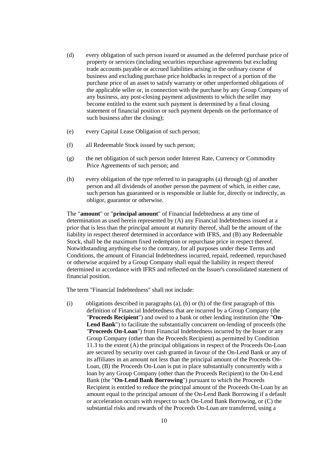- (d) every obligation of such person issued or assumed as the deferred purchase price of property or services (including securities repurchase agreements but excluding trade accounts payable or accrued liabilities arising in the ordinary course of business and excluding purchase price holdbacks in respect of a portion of the purchase price of an asset to satisfy warranty or other unperformed obligations of the applicable seller or, in connection with the purchase by any Group Company of any business, any post-closing payment adjustments to which the seller may become entitled to the extent such payment is determined by a final closing statement of financial position or such payment depends on the performance of such business after the closing);
- (e) every Capital Lease Obligation of such person;
- (f) all Redeemable Stock issued by such person;
- (g) the net obligation of such person under Interest Rate, Currency or Commodity Price Agreements of such person; and
- (h) every obligation of the type referred to in paragraphs (a) through (g) of another person and all dividends of another person the payment of which, in either case, such person has guaranteed or is responsible or liable for, directly or indirectly, as obligor, guarantor or otherwise.

The "**amount**" or "**principal amount**" of Financial Indebtedness at any time of determination as used herein represented by (A) any Financial Indebtedness issued at a price that is less than the principal amount at maturity thereof, shall be the amount of the liability in respect thereof determined in accordance with IFRS, and (B) any Redeemable Stock, shall be the maximum fixed redemption or repurchase price in respect thereof. Notwithstanding anything else to the contrary, for all purposes under these Terms and Conditions, the amount of Financial Indebtedness incurred, repaid, redeemed, repurchased or otherwise acquired by a Group Company shall equal the liability in respect thereof determined in accordance with IFRS and reflected on the Issuer's consolidated statement of financial position.

The term "Financial Indebtedness" shall not include:

(i) obligations described in paragraphs (a), (b) or (h) of the first paragraph of this definition of Financial Indebtedness that are incurred by a Group Company (the "**Proceeds Recipient**") and owed to a bank or other lending institution (the "**On-Lend Bank**") to facilitate the substantially concurrent on-lending of proceeds (the "**Proceeds On-Loan**") from Financial Indebtedness incurred by the Issuer or any Group Company (other than the Proceeds Recipient) as permitted by Condition [11.3](#page-35-0) to the extent (A) the principal obligations in respect of the Proceeds On-Loan are secured by security over cash granted in favour of the On-Lend Bank or any of its affiliates in an amount not less than the principal amount of the Proceeds On-Loan, (B) the Proceeds On-Loan is put in place substantially concurrently with a loan by any Group Company (other than the Proceeds Recipient) to the On-Lend Bank (the "**On-Lend Bank Borrowing**") pursuant to which the Proceeds Recipient is entitled to reduce the principal amount of the Proceeds On-Loan by an amount equal to the principal amount of the On-Lend Bank Borrowing if a default or acceleration occurs with respect to such On-Lend Bank Borrowing, or (C) the substantial risks and rewards of the Proceeds On-Loan are transferred, using a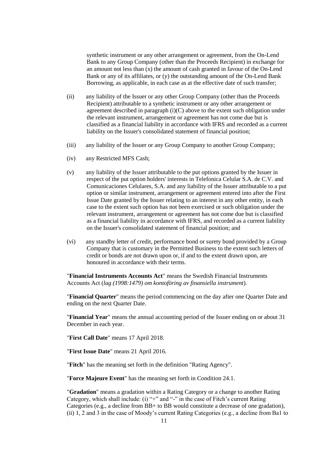synthetic instrument or any other arrangement or agreement, from the On-Lend Bank to any Group Company (other than the Proceeds Recipient) in exchange for an amount not less than (x) the amount of cash granted in favour of the On-Lend Bank or any of its affiliates, or (y) the outstanding amount of the On-Lend Bank Borrowing, as applicable, in each case as at the effective date of such transfer;

- (ii) any liability of the Issuer or any other Group Company (other than the Proceeds Recipient) attributable to a synthetic instrument or any other arrangement or agreement described in paragraph  $(i)(C)$  above to the extent such obligation under the relevant instrument, arrangement or agreement has not come due but is classified as a financial liability in accordance with IFRS and recorded as a current liability on the Issuer's consolidated statement of financial position;
- (iii) any liability of the Issuer or any Group Company to another Group Company;
- (iv) any Restricted MFS Cash;
- (v) any liability of the Issuer attributable to the put options granted by the Issuer in respect of the put option holders' interests in Telefonica Celular S.A. de C.V. and Comunicaciones Celulares, S.A. and any liability of the Issuer attributable to a put option or similar instrument, arrangement or agreement entered into after the First Issue Date granted by the Issuer relating to an interest in any other entity, in each case to the extent such option has not been exercised or such obligation under the relevant instrument, arrangement or agreement has not come due but is classified as a financial liability in accordance with IFRS, and recorded as a current liability on the Issuer's consolidated statement of financial position; and
- (vi) any standby letter of credit, performance bond or surety bond provided by a Group Company that is customary in the Permitted Business to the extent such letters of credit or bonds are not drawn upon or, if and to the extent drawn upon, are honoured in accordance with their terms.

"**Financial Instruments Accounts Act**" means the Swedish Financial Instruments Accounts Act (*lag (1998:1479) om kontoföring av finansiella instrument*).

"**Financial Quarter**" means the period commencing on the day after one Quarter Date and ending on the next Quarter Date.

"**Financial Year**" means the annual accounting period of the Issuer ending on or about 31 December in each year.

"**First Call Date**" means 17 April 2018.

"**First Issue Date**" means 21 April 2016.

"**Fitch**" has the meaning set forth in the definition "Rating Agency".

"**Force Majeure Event**" has the meaning set forth in Condition [24.1.](#page-50-0)

"**Gradation**" means a gradation within a Rating Category or a change to another Rating Category, which shall include: (i) "+" and "-" in the case of Fitch's current Rating Categories (e.g., a decline from BB+ to BB would constitute a decrease of one gradation), (ii) 1, 2 and 3 in the case of Moody's current Rating Categories (e.g., a decline from Ba1 to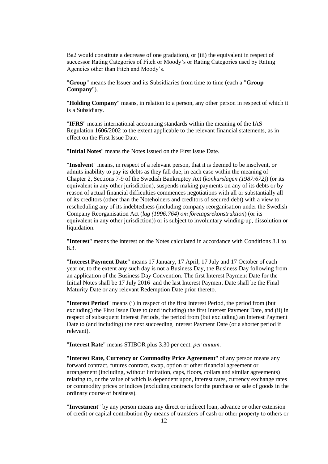Ba2 would constitute a decrease of one gradation), or (iii) the equivalent in respect of successor Rating Categories of Fitch or Moody's or Rating Categories used by Rating Agencies other than Fitch and Moody's.

"**Group**" means the Issuer and its Subsidiaries from time to time (each a "**Group Company**").

"**Holding Company**" means, in relation to a person, any other person in respect of which it is a Subsidiary.

"**IFRS**" means international accounting standards within the meaning of the IAS Regulation 1606/2002 to the extent applicable to the relevant financial statements, as in effect on the First Issue Date.

"**Initial Notes**" means the Notes issued on the First Issue Date.

"**Insolvent**" means, in respect of a relevant person, that it is deemed to be insolvent, or admits inability to pay its debts as they fall due, in each case within the meaning of Chapter 2, Sections 7-9 of the Swedish Bankruptcy Act (*konkurslagen (1987:672)*) (or its equivalent in any other jurisdiction), suspends making payments on any of its debts or by reason of actual financial difficulties commences negotiations with all or substantially all of its creditors (other than the Noteholders and creditors of secured debt) with a view to rescheduling any of its indebtedness (including company reorganisation under the Swedish Company Reorganisation Act (*lag (1996:764) om företagsrekonstruktion*) (or its equivalent in any other jurisdiction)) or is subject to involuntary winding-up, dissolution or liquidation.

"**Interest**" means the interest on the Notes calculated in accordance with Conditions [8.1](#page-29-0) to [8.3.](#page-29-1)

"**Interest Payment Date**" means 17 January, 17 April, 17 July and 17 October of each year or, to the extent any such day is not a Business Day, the Business Day following from an application of the Business Day Convention. The first Interest Payment Date for the Initial Notes shall be 17 July 2016 and the last Interest Payment Date shall be the Final Maturity Date or any relevant Redemption Date prior thereto.

"**Interest Period**" means (i) in respect of the first Interest Period, the period from (but excluding) the First Issue Date to (and including) the first Interest Payment Date, and (ii) in respect of subsequent Interest Periods, the period from (but excluding) an Interest Payment Date to (and including) the next succeeding Interest Payment Date (or a shorter period if relevant).

"**Interest Rate**" means STIBOR plus 3.30 per cent. *per annum*.

"**Interest Rate, Currency or Commodity Price Agreement**" of any person means any forward contract, futures contract, swap, option or other financial agreement or arrangement (including, without limitation, caps, floors, collars and similar agreements) relating to, or the value of which is dependent upon, interest rates, currency exchange rates or commodity prices or indices (excluding contracts for the purchase or sale of goods in the ordinary course of business).

"**Investment**" by any person means any direct or indirect loan, advance or other extension of credit or capital contribution (by means of transfers of cash or other property to others or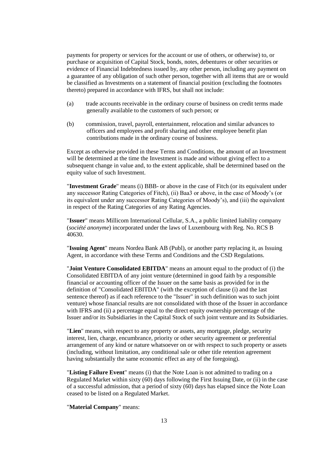payments for property or services for the account or use of others, or otherwise) to, or purchase or acquisition of Capital Stock, bonds, notes, debentures or other securities or evidence of Financial Indebtedness issued by, any other person, including any payment on a guarantee of any obligation of such other person, together with all items that are or would be classified as Investments on a statement of financial position (excluding the footnotes thereto) prepared in accordance with IFRS, but shall not include:

- (a) trade accounts receivable in the ordinary course of business on credit terms made generally available to the customers of such person; or
- (b) commission, travel, payroll, entertainment, relocation and similar advances to officers and employees and profit sharing and other employee benefit plan contributions made in the ordinary course of business.

Except as otherwise provided in these Terms and Conditions, the amount of an Investment will be determined at the time the Investment is made and without giving effect to a subsequent change in value and, to the extent applicable, shall be determined based on the equity value of such Investment.

"**Investment Grade**" means (i) BBB- or above in the case of Fitch (or its equivalent under any successor Rating Categories of Fitch), (ii) Baa3 or above, in the case of Moody's (or its equivalent under any successor Rating Categories of Moody's), and (iii) the equivalent in respect of the Rating Categories of any Rating Agencies.

"**Issuer**" means Millicom International Cellular, S.A., a public limited liability company (*société anonyme*) incorporated under the laws of Luxembourg with Reg. No. RCS B 40630.

"**Issuing Agent**" means Nordea Bank AB (Publ), or another party replacing it, as Issuing Agent, in accordance with these Terms and Conditions and the CSD Regulations.

"**Joint Venture Consolidated EBITDA**" means an amount equal to the product of (i) the Consolidated EBITDA of any joint venture (determined in good faith by a responsible financial or accounting officer of the Issuer on the same basis as provided for in the definition of "Consolidated EBITDA" (with the exception of clause (i) and the last sentence thereof) as if each reference to the "Issuer" in such definition was to such joint venture) whose financial results are not consolidated with those of the Issuer in accordance with IFRS and (ii) a percentage equal to the direct equity ownership percentage of the Issuer and/or its Subsidiaries in the Capital Stock of such joint venture and its Subsidiaries.

"**Lien**" means, with respect to any property or assets, any mortgage, pledge, security interest, lien, charge, encumbrance, priority or other security agreement or preferential arrangement of any kind or nature whatsoever on or with respect to such property or assets (including, without limitation, any conditional sale or other title retention agreement having substantially the same economic effect as any of the foregoing).

"**Listing Failure Event**" means (i) that the Note Loan is not admitted to trading on a Regulated Market within sixty (60) days following the First Issuing Date, or (ii) in the case of a successful admission, that a period of sixty (60) days has elapsed since the Note Loan ceased to be listed on a Regulated Market.

## "**Material Company**" means: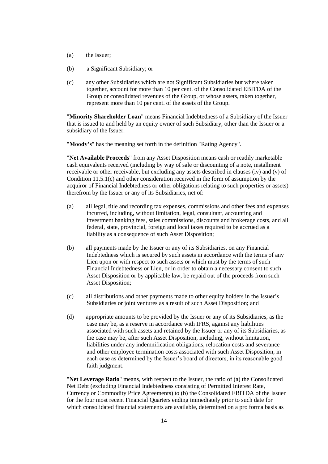- (a) the Issuer;
- (b) a Significant Subsidiary; or
- (c) any other Subsidiaries which are not Significant Subsidiaries but where taken together, account for more than 10 per cent. of the Consolidated EBITDA of the Group or consolidated revenues of the Group, or whose assets, taken together, represent more than 10 per cent. of the assets of the Group.

"**Minority Shareholder Loan**" means Financial Indebtedness of a Subsidiary of the Issuer that is issued to and held by an equity owner of such Subsidiary, other than the Issuer or a subsidiary of the Issuer.

"**Moody's**" has the meaning set forth in the definition "Rating Agency".

"**Net Available Proceeds**" from any Asset Disposition means cash or readily marketable cash equivalents received (including by way of sale or discounting of a note, installment receivable or other receivable, but excluding any assets described in clauses (iv) and (v) of Condition [11.5.1\(c\)](#page-35-4) and other consideration received in the form of assumption by the acquiror of Financial Indebtedness or other obligations relating to such properties or assets) therefrom by the Issuer or any of its Subsidiaries, net of:

- (a) all legal, title and recording tax expenses, commissions and other fees and expenses incurred, including, without limitation, legal, consultant, accounting and investment banking fees, sales commissions, discounts and brokerage costs, and all federal, state, provincial, foreign and local taxes required to be accrued as a liability as a consequence of such Asset Disposition;
- (b) all payments made by the Issuer or any of its Subsidiaries, on any Financial Indebtedness which is secured by such assets in accordance with the terms of any Lien upon or with respect to such assets or which must by the terms of such Financial Indebtedness or Lien, or in order to obtain a necessary consent to such Asset Disposition or by applicable law, be repaid out of the proceeds from such Asset Disposition;
- (c) all distributions and other payments made to other equity holders in the Issuer's Subsidiaries or joint ventures as a result of such Asset Disposition; and
- (d) appropriate amounts to be provided by the Issuer or any of its Subsidiaries, as the case may be, as a reserve in accordance with IFRS, against any liabilities associated with such assets and retained by the Issuer or any of its Subsidiaries, as the case may be, after such Asset Disposition, including, without limitation, liabilities under any indemnification obligations, relocation costs and severance and other employee termination costs associated with such Asset Disposition, in each case as determined by the Issuer's board of directors, in its reasonable good faith judgment.

"**Net Leverage Ratio**" means, with respect to the Issuer, the ratio of (a) the Consolidated Net Debt (excluding Financial Indebtedness consisting of Permitted Interest Rate, Currency or Commodity Price Agreements) to (b) the Consolidated EBITDA of the Issuer for the four most recent Financial Quarters ending immediately prior to such date for which consolidated financial statements are available, determined on a pro forma basis as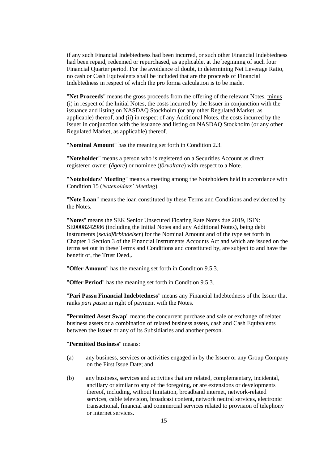if any such Financial Indebtedness had been incurred, or such other Financial Indebtedness had been repaid, redeemed or repurchased, as applicable, at the beginning of such four Financial Quarter period. For the avoidance of doubt, in determining Net Leverage Ratio, no cash or Cash Equivalents shall be included that are the proceeds of Financial Indebtedness in respect of which the pro forma calculation is to be made.

"**Net Proceeds**" means the gross proceeds from the offering of the relevant Notes, minus (i) in respect of the Initial Notes, the costs incurred by the Issuer in conjunction with the issuance and listing on NASDAQ Stockholm (or any other Regulated Market, as applicable) thereof, and (ii) in respect of any Additional Notes, the costs incurred by the Issuer in conjunction with the issuance and listing on NASDAQ Stockholm (or any other Regulated Market, as applicable) thereof.

"**Nominal Amount**" has the meaning set forth in Condition [2.3.](#page-26-0)

"**Noteholder**" means a person who is registered on a Securities Account as direct registered owner (*ägare*) or nominee (*förvaltare*) with respect to a Note.

"**Noteholders' Meeting**" means a meeting among the Noteholders held in accordance with Condition [15](#page-43-0) (*Noteholders' Meeting*).

"**Note Loan**" means the loan constituted by these Terms and Conditions and evidenced by the Notes.

"**Notes**" means the SEK Senior Unsecured Floating Rate Notes due 2019, ISIN: SE0008242986 (including the Initial Notes and any Additional Notes), being debt instruments (*skuldförbindelser*) for the Nominal Amount and of the type set forth in Chapter 1 Section 3 of the Financial Instruments Accounts Act and which are issued on the terms set out in these Terms and Conditions and constituted by, are subject to and have the benefit of, the Trust Deed,.

"**Offer Amount**" has the meaning set forth in Condition [9.5.3.](#page-30-1)

"**Offer Period**" has the meaning set forth in Condition [9.5.3.](#page-30-1)

"**Pari Passu Financial Indebtedness**" means any Financial Indebtedness of the Issuer that ranks *pari passu* in right of payment with the Notes.

"**Permitted Asset Swap**" means the concurrent purchase and sale or exchange of related business assets or a combination of related business assets, cash and Cash Equivalents between the Issuer or any of its Subsidiaries and another person.

"**Permitted Business**" means:

- (a) any business, services or activities engaged in by the Issuer or any Group Company on the First Issue Date; and
- (b) any business, services and activities that are related, complementary, incidental, ancillary or similar to any of the foregoing, or are extensions or developments thereof, including, without limitation, broadband internet, network-related services, cable television, broadcast content, network neutral services, electronic transactional, financial and commercial services related to provision of telephony or internet services.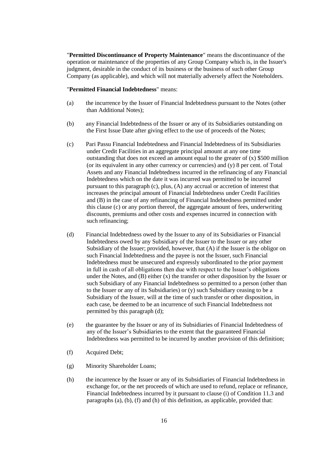"**Permitted Discontinuance of Property Maintenance**" means the discontinuance of the operation or maintenance of the properties of any Group Company which is, in the Issuer's judgment, desirable in the conduct of its business or the business of such other Group Company (as applicable), and which will not materially adversely affect the Noteholders.

#### "**Permitted Financial Indebtedness**" means:

- (a) the incurrence by the Issuer of Financial Indebtedness pursuant to the Notes (other than Additional Notes);
- (b) any Financial Indebtedness of the Issuer or any of its Subsidiaries outstanding on the First Issue Date after giving effect to the use of proceeds of the Notes;
- (c) Pari Passu Financial Indebtedness and Financial Indebtedness of its Subsidiaries under Credit Facilities in an aggregate principal amount at any one time outstanding that does not exceed an amount equal to the greater of  $(x)$  \$500 million (or its equivalent in any other currency or currencies) and (y) 8 per cent. of Total Assets and any Financial Indebtedness incurred in the refinancing of any Financial Indebtedness which on the date it was incurred was permitted to be incurred pursuant to this paragraph (c), plus, (A) any accrual or accretion of interest that increases the principal amount of Financial Indebtedness under Credit Facilities and (B) in the case of any refinancing of Financial Indebtedness permitted under this clause (c) or any portion thereof, the aggregate amount of fees, underwriting discounts, premiums and other costs and expenses incurred in connection with such refinancing;
- (d) Financial Indebtedness owed by the Issuer to any of its Subsidiaries or Financial Indebtedness owed by any Subsidiary of the Issuer to the Issuer or any other Subsidiary of the Issuer; provided, however, that (A) if the Issuer is the obligor on such Financial Indebtedness and the payee is not the Issuer, such Financial Indebtedness must be unsecured and expressly subordinated to the prior payment in full in cash of all obligations then due with respect to the Issuer's obligations under the Notes, and  $(B)$  either  $(x)$  the transfer or other disposition by the Issuer or such Subsidiary of any Financial Indebtedness so permitted to a person (other than to the Issuer or any of its Subsidiaries) or (y) such Subsidiary ceasing to be a Subsidiary of the Issuer, will at the time of such transfer or other disposition, in each case, be deemed to be an incurrence of such Financial Indebtedness not permitted by this paragraph (d);
- (e) the guarantee by the Issuer or any of its Subsidiaries of Financial Indebtedness of any of the Issuer's Subsidiaries to the extent that the guaranteed Financial Indebtedness was permitted to be incurred by another provision of this definition;
- (f) Acquired Debt;
- (g) Minority Shareholder Loans;
- (h) the incurrence by the Issuer or any of its Subsidiaries of Financial Indebtedness in exchange for, or the net proceeds of which are used to refund, replace or refinance, Financial Indebtedness incurred by it pursuant to clause (i) of Condition [11.3](#page-35-0) and paragraphs (a), (b), (f) and (h) of this definition, as applicable, provided that: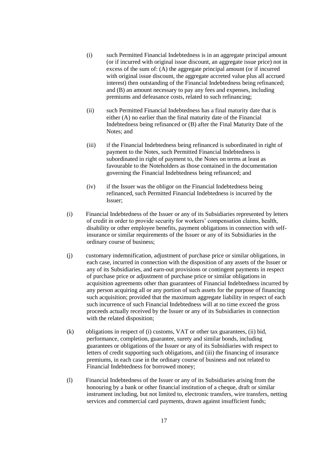- (i) such Permitted Financial Indebtedness is in an aggregate principal amount (or if incurred with original issue discount, an aggregate issue price) not in excess of the sum of: (A) the aggregate principal amount (or if incurred with original issue discount, the aggregate accreted value plus all accrued interest) then outstanding of the Financial Indebtedness being refinanced; and (B) an amount necessary to pay any fees and expenses, including premiums and defeasance costs, related to such refinancing;
- (ii) such Permitted Financial Indebtedness has a final maturity date that is either (A) no earlier than the final maturity date of the Financial Indebtedness being refinanced or (B) after the Final Maturity Date of the Notes; and
- (iii) if the Financial Indebtedness being refinanced is subordinated in right of payment to the Notes, such Permitted Financial Indebtedness is subordinated in right of payment to, the Notes on terms at least as favourable to the Noteholders as those contained in the documentation governing the Financial Indebtedness being refinanced; and
- (iv) if the Issuer was the obligor on the Financial Indebtedness being refinanced, such Permitted Financial Indebtedness is incurred by the Issuer;
- (i) Financial Indebtedness of the Issuer or any of its Subsidiaries represented by letters of credit in order to provide security for workers' compensation claims, health, disability or other employee benefits, payment obligations in connection with selfinsurance or similar requirements of the Issuer or any of its Subsidiaries in the ordinary course of business;
- (j) customary indemnification, adjustment of purchase price or similar obligations, in each case, incurred in connection with the disposition of any assets of the Issuer or any of its Subsidiaries, and earn-out provisions or contingent payments in respect of purchase price or adjustment of purchase price or similar obligations in acquisition agreements other than guarantees of Financial Indebtedness incurred by any person acquiring all or any portion of such assets for the purpose of financing such acquisition; provided that the maximum aggregate liability in respect of each such incurrence of such Financial Indebtedness will at no time exceed the gross proceeds actually received by the Issuer or any of its Subsidiaries in connection with the related disposition;
- (k) obligations in respect of (i) customs, VAT or other tax guarantees, (ii) bid, performance, completion, guarantee, surety and similar bonds, including guarantees or obligations of the Issuer or any of its Subsidiaries with respect to letters of credit supporting such obligations, and (iii) the financing of insurance premiums, in each case in the ordinary course of business and not related to Financial Indebtedness for borrowed money;
- (l) Financial Indebtedness of the Issuer or any of its Subsidiaries arising from the honouring by a bank or other financial institution of a cheque, draft or similar instrument including, but not limited to, electronic transfers, wire transfers, netting services and commercial card payments, drawn against insufficient funds;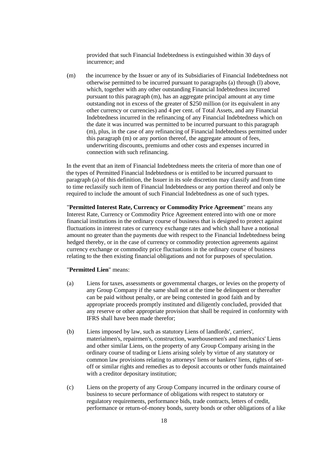provided that such Financial Indebtedness is extinguished within 30 days of incurrence; and

(m) the incurrence by the Issuer or any of its Subsidiaries of Financial Indebtedness not otherwise permitted to be incurred pursuant to paragraphs (a) through (l) above, which, together with any other outstanding Financial Indebtedness incurred pursuant to this paragraph (m), has an aggregate principal amount at any time outstanding not in excess of the greater of \$250 million (or its equivalent in any other currency or currencies) and 4 per cent. of Total Assets, and any Financial Indebtedness incurred in the refinancing of any Financial Indebtedness which on the date it was incurred was permitted to be incurred pursuant to this paragraph (m), plus, in the case of any refinancing of Financial Indebtedness permitted under this paragraph (m) or any portion thereof, the aggregate amount of fees, underwriting discounts, premiums and other costs and expenses incurred in connection with such refinancing.

In the event that an item of Financial Indebtedness meets the criteria of more than one of the types of Permitted Financial Indebtedness or is entitled to be incurred pursuant to paragraph (a) of this definition, the Issuer in its sole discretion may classify and from time to time reclassify such item of Financial Indebtedness or any portion thereof and only be required to include the amount of such Financial Indebtedness as one of such types.

"**Permitted Interest Rate, Currency or Commodity Price Agreement**" means any Interest Rate, Currency or Commodity Price Agreement entered into with one or more financial institutions in the ordinary course of business that is designed to protect against fluctuations in interest rates or currency exchange rates and which shall have a notional amount no greater than the payments due with respect to the Financial Indebtedness being hedged thereby, or in the case of currency or commodity protection agreements against currency exchange or commodity price fluctuations in the ordinary course of business relating to the then existing financial obligations and not for purposes of speculation.

## "**Permitted Lien**" means:

- (a) Liens for taxes, assessments or governmental charges, or levies on the property of any Group Company if the same shall not at the time be delinquent or thereafter can be paid without penalty, or are being contested in good faith and by appropriate proceeds promptly instituted and diligently concluded, provided that any reserve or other appropriate provision that shall be required in conformity with IFRS shall have been made therefor;
- (b) Liens imposed by law, such as statutory Liens of landlords', carriers', materialmen's, repairmen's, construction, warehousemen's and mechanics' Liens and other similar Liens, on the property of any Group Company arising in the ordinary course of trading or Liens arising solely by virtue of any statutory or common law provisions relating to attorneys' liens or bankers' liens, rights of setoff or similar rights and remedies as to deposit accounts or other funds maintained with a creditor depositary institution;
- (c) Liens on the property of any Group Company incurred in the ordinary course of business to secure performance of obligations with respect to statutory or regulatory requirements, performance bids, trade contracts, letters of credit, performance or return-of-money bonds, surety bonds or other obligations of a like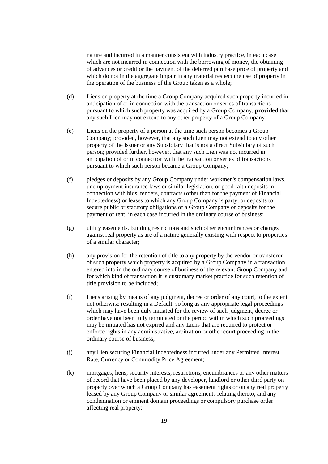nature and incurred in a manner consistent with industry practice, in each case which are not incurred in connection with the borrowing of money, the obtaining of advances or credit or the payment of the deferred purchase price of property and which do not in the aggregate impair in any material respect the use of property in the operation of the business of the Group taken as a whole;

- (d) Liens on property at the time a Group Company acquired such property incurred in anticipation of or in connection with the transaction or series of transactions pursuant to which such property was acquired by a Group Company, **provided** that any such Lien may not extend to any other property of a Group Company;
- (e) Liens on the property of a person at the time such person becomes a Group Company; provided, however, that any such Lien may not extend to any other property of the Issuer or any Subsidiary that is not a direct Subsidiary of such person; provided further, however, that any such Lien was not incurred in anticipation of or in connection with the transaction or series of transactions pursuant to which such person became a Group Company;
- (f) pledges or deposits by any Group Company under workmen's compensation laws, unemployment insurance laws or similar legislation, or good faith deposits in connection with bids, tenders, contracts (other than for the payment of Financial Indebtedness) or leases to which any Group Company is party, or deposits to secure public or statutory obligations of a Group Company or deposits for the payment of rent, in each case incurred in the ordinary course of business;
- (g) utility easements, building restrictions and such other encumbrances or charges against real property as are of a nature generally existing with respect to properties of a similar character;
- (h) any provision for the retention of title to any property by the vendor or transferor of such property which property is acquired by a Group Company in a transaction entered into in the ordinary course of business of the relevant Group Company and for which kind of transaction it is customary market practice for such retention of title provision to be included;
- (i) Liens arising by means of any judgment, decree or order of any court, to the extent not otherwise resulting in a Default, so long as any appropriate legal proceedings which may have been duly initiated for the review of such judgment, decree or order have not been fully terminated or the period within which such proceedings may be initiated has not expired and any Liens that are required to protect or enforce rights in any administrative, arbitration or other court proceeding in the ordinary course of business;
- (j) any Lien securing Financial Indebtedness incurred under any Permitted Interest Rate, Currency or Commodity Price Agreement;
- (k) mortgages, liens, security interests, restrictions, encumbrances or any other matters of record that have been placed by any developer, landlord or other third party on property over which a Group Company has easement rights or on any real property leased by any Group Company or similar agreements relating thereto, and any condemnation or eminent domain proceedings or compulsory purchase order affecting real property;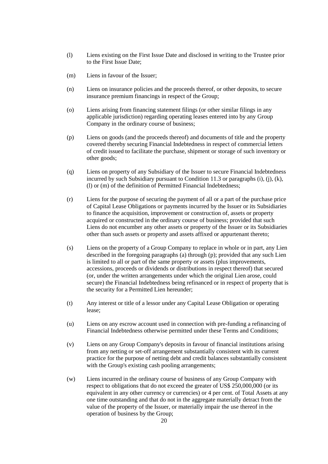- (l) Liens existing on the First Issue Date and disclosed in writing to the Trustee prior to the First Issue Date;
- (m) Liens in favour of the Issuer;
- (n) Liens on insurance policies and the proceeds thereof, or other deposits, to secure insurance premium financings in respect of the Group;
- (o) Liens arising from financing statement filings (or other similar filings in any applicable jurisdiction) regarding operating leases entered into by any Group Company in the ordinary course of business;
- (p) Liens on goods (and the proceeds thereof) and documents of title and the property covered thereby securing Financial Indebtedness in respect of commercial letters of credit issued to facilitate the purchase, shipment or storage of such inventory or other goods;
- (q) Liens on property of any Subsidiary of the Issuer to secure Financial Indebtedness incurred by such Subsidiary pursuant to Condition [11.3](#page-35-0) or paragraphs (i), (j), (k), (l) or (m) of the definition of Permitted Financial Indebtedness;
- (r) Liens for the purpose of securing the payment of all or a part of the purchase price of Capital Lease Obligations or payments incurred by the Issuer or its Subsidiaries to finance the acquisition, improvement or construction of, assets or property acquired or constructed in the ordinary course of business; provided that such Liens do not encumber any other assets or property of the Issuer or its Subsidiaries other than such assets or property and assets affixed or appurtenant thereto;
- (s) Liens on the property of a Group Company to replace in whole or in part, any Lien described in the foregoing paragraphs (a) through (p); provided that any such Lien is limited to all or part of the same property or assets (plus improvements, accessions, proceeds or dividends or distributions in respect thereof) that secured (or, under the written arrangements under which the original Lien arose, could secure) the Financial Indebtedness being refinanced or in respect of property that is the security for a Permitted Lien hereunder;
- (t) Any interest or title of a lessor under any Capital Lease Obligation or operating lease;
- (u) Liens on any escrow account used in connection with pre-funding a refinancing of Financial Indebtedness otherwise permitted under these Terms and Conditions;
- (v) Liens on any Group Company's deposits in favour of financial institutions arising from any netting or set-off arrangement substantially consistent with its current practice for the purpose of netting debt and credit balances substantially consistent with the Group's existing cash pooling arrangements;
- (w) Liens incurred in the ordinary course of business of any Group Company with respect to obligations that do not exceed the greater of US\$ 250,000,000 (or its equivalent in any other currency or currencies) or 4 per cent. of Total Assets at any one time outstanding and that do not in the aggregate materially detract from the value of the property of the Issuer, or materially impair the use thereof in the operation of business by the Group;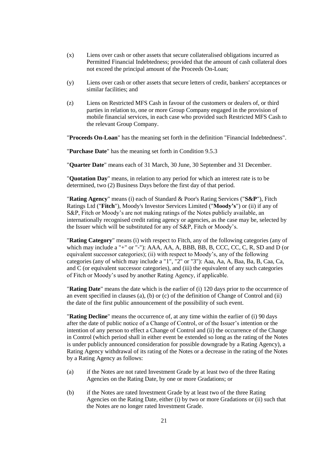- (x) Liens over cash or other assets that secure collateralised obligations incurred as Permitted Financial Indebtedness; provided that the amount of cash collateral does not exceed the principal amount of the Proceeds On-Loan;
- (y) Liens over cash or other assets that secure letters of credit, bankers' acceptances or similar facilities; and
- (z) Liens on Restricted MFS Cash in favour of the customers or dealers of, or third parties in relation to, one or more Group Company engaged in the provision of mobile financial services, in each case who provided such Restricted MFS Cash to the relevant Group Company.

"**Proceeds On-Loan**" has the meaning set forth in the definition "Financial Indebtedness".

"**Purchase Date**" has the meaning set forth in Condition [9.5.3](#page-30-1)

"**Quarter Date**" means each of 31 March, 30 June, 30 September and 31 December.

"**Quotation Day**" means, in relation to any period for which an interest rate is to be determined, two (2) Business Days before the first day of that period.

"**Rating Agency**" means (i) each of Standard & Poor's Rating Services ("**S&P**"), Fitch Ratings Ltd ("**Fitch**"), Moody's Investor Services Limited ("**Moody's**") or (ii) if any of S&P, Fitch or Moody's are not making ratings of the Notes publicly available, an internationally recognised credit rating agency or agencies, as the case may be, selected by the Issuer which will be substituted for any of S&P, Fitch or Moody's.

"**Rating Category**" means (i) with respect to Fitch, any of the following categories (any of which may include a "+" or "-"): AAA, AA, A, BBB, BB, B, CCC, CC, C, R, SD and D (or equivalent successor categories); (ii) with respect to Moody's, any of the following categories (any of which may include a "1", "2" or "3"): Aaa, Aa, A, Baa, Ba, B, Caa, Ca, and C (or equivalent successor categories), and (iii) the equivalent of any such categories of Fitch or Moody's used by another Rating Agency, if applicable.

"**Rating Date**" means the date which is the earlier of (i) 120 days prior to the occurrence of an event specified in clauses (a), (b) or (c) of the definition of Change of Control and (ii) the date of the first public announcement of the possibility of such event.

"**Rating Decline**" means the occurrence of, at any time within the earlier of (i) 90 days after the date of public notice of a Change of Control, or of the Issuer's intention or the intention of any person to effect a Change of Control and (ii) the occurrence of the Change in Control (which period shall in either event be extended so long as the rating of the Notes is under publicly announced consideration for possible downgrade by a Rating Agency), a Rating Agency withdrawal of its rating of the Notes or a decrease in the rating of the Notes by a Rating Agency as follows:

- (a) if the Notes are not rated Investment Grade by at least two of the three Rating Agencies on the Rating Date, by one or more Gradations; or
- (b) if the Notes are rated Investment Grade by at least two of the three Rating Agencies on the Rating Date, either (i) by two or more Gradations or (ii) such that the Notes are no longer rated Investment Grade.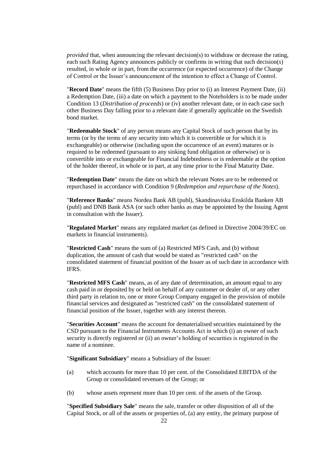*provided* that, when announcing the relevant decision(s) to withdraw or decrease the rating, each such Rating Agency announces publicly or confirms in writing that such decision(s) resulted, in whole or in part, from the occurrence (or expected occurrence) of the Change of Control or the Issuer's announcement of the intention to effect a Change of Control.

"**Record Date**" means the fifth (5) Business Day prior to (i) an Interest Payment Date, (ii) a Redemption Date, (iii) a date on which a payment to the Noteholders is to be made under Condition [13](#page-40-0) (*Distribution of proceeds*) or (iv) another relevant date, or in each case such other Business Day falling prior to a relevant date if generally applicable on the Swedish bond market.

"**Redeemable Stock**" of any person means any Capital Stock of such person that by its terms (or by the terms of any security into which it is convertible or for which it is exchangeable) or otherwise (including upon the occurrence of an event) matures or is required to be redeemed (pursuant to any sinking fund obligation or otherwise) or is convertible into or exchangeable for Financial Indebtedness or is redeemable at the option of the holder thereof, in whole or in part, at any time prior to the Final Maturity Date.

"**Redemption Date**" means the date on which the relevant Notes are to be redeemed or repurchased in accordance with Condition [9](#page-29-2) (*Redemption and repurchase of the Notes*).

"**Reference Banks**" means Nordea Bank AB (publ), Skandinaviska Enskilda Banken AB (publ) and DNB Bank ASA (or such other banks as may be appointed by the Issuing Agent in consultation with the Issuer).

"**Regulated Market**" means any regulated market (as defined in Directive 2004/39/EC on markets in financial instruments).

"**Restricted Cash**" means the sum of (a) Restricted MFS Cash, and (b) without duplication, the amount of cash that would be stated as "restricted cash" on the consolidated statement of financial position of the Issuer as of such date in accordance with IFRS.

"**Restricted MFS Cash**" means, as of any date of determination, an amount equal to any cash paid in or deposited by or held on behalf of any customer or dealer of, or any other third party in relation to, one or more Group Company engaged in the provision of mobile financial services and designated as "restricted cash" on the consolidated statement of financial position of the Issuer, together with any interest thereon.

"**Securities Account**" means the account for dematerialised securities maintained by the CSD pursuant to the Financial Instruments Accounts Act in which (i) an owner of such security is directly registered or (ii) an owner's holding of securities is registered in the name of a nominee.

"**Significant Subsidiary**" means a Subsidiary of the Issuer:

- (a) which accounts for more than 10 per cent. of the Consolidated EBITDA of the Group or consolidated revenues of the Group; or
- (b) whose assets represent more than 10 per cent. of the assets of the Group.

"**Specified Subsidiary Sale**" means the sale, transfer or other disposition of all of the Capital Stock, or all of the assets or properties of, (a) any entity, the primary purpose of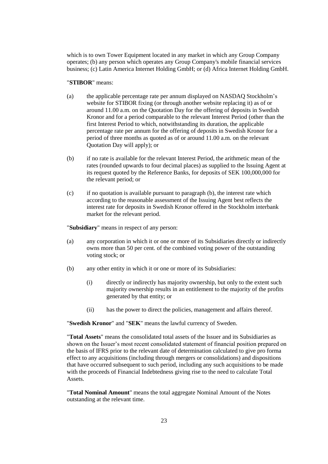which is to own Tower Equipment located in any market in which any Group Company operates; (b) any person which operates any Group Company's mobile financial services business; (c) Latin America Internet Holding GmbH; or (d) Africa Internet Holding GmbH.

## "**STIBOR**" means:

- (a) the applicable percentage rate per annum displayed on NASDAQ Stockholm's website for STIBOR fixing (or through another website replacing it) as of or around 11.00 a.m. on the Quotation Day for the offering of deposits in Swedish Kronor and for a period comparable to the relevant Interest Period (other than the first Interest Period to which, notwithstanding its duration, the applicable percentage rate per annum for the offering of deposits in Swedish Kronor for a period of three months as quoted as of or around 11.00 a.m. on the relevant Quotation Day will apply); or
- <span id="page-24-0"></span>(b) if no rate is available for the relevant Interest Period, the arithmetic mean of the rates (rounded upwards to four decimal places) as supplied to the Issuing Agent at its request quoted by the Reference Banks, for deposits of SEK 100,000,000 for the relevant period; or
- (c) if no quotation is available pursuant to paragraph [\(b\),](#page-24-0) the interest rate which according to the reasonable assessment of the Issuing Agent best reflects the interest rate for deposits in Swedish Kronor offered in the Stockholm interbank market for the relevant period.

"**Subsidiary**" means in respect of any person:

- (a) any corporation in which it or one or more of its Subsidiaries directly or indirectly owns more than 50 per cent. of the combined voting power of the outstanding voting stock; or
- (b) any other entity in which it or one or more of its Subsidiaries:
	- (i) directly or indirectly has majority ownership, but only to the extent such majority ownership results in an entitlement to the majority of the profits generated by that entity; or
	- (ii) has the power to direct the policies, management and affairs thereof.

"**Swedish Kronor**" and "**SEK**" means the lawful currency of Sweden.

"**Total Assets**" means the consolidated total assets of the Issuer and its Subsidiaries as shown on the Issuer's most recent consolidated statement of financial position prepared on the basis of IFRS prior to the relevant date of determination calculated to give pro forma effect to any acquisitions (including through mergers or consolidations) and dispositions that have occurred subsequent to such period, including any such acquisitions to be made with the proceeds of Financial Indebtedness giving rise to the need to calculate Total Assets.

"**Total Nominal Amount**" means the total aggregate Nominal Amount of the Notes outstanding at the relevant time.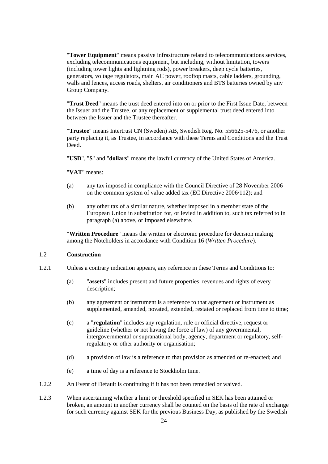"**Tower Equipment**" means passive infrastructure related to telecommunications services, excluding telecommunications equipment, but including, without limitation, towers (including tower lights and lightning rods), power breakers, deep cycle batteries, generators, voltage regulators, main AC power, rooftop masts, cable ladders, grounding, walls and fences, access roads, shelters, air conditioners and BTS batteries owned by any Group Company.

"**Trust Deed**" means the trust deed entered into on or prior to the First Issue Date, between the Issuer and the Trustee, or any replacement or supplemental trust deed entered into between the Issuer and the Trustee thereafter.

"**Trustee**" means Intertrust CN (Sweden) AB, Swedish Reg. No. 556625-5476, or another party replacing it, as Trustee, in accordance with these Terms and Conditions and the Trust Deed.

"**USD**", "**\$**" and "**dollars**" means the lawful currency of the United States of America.

"**VAT**" means:

- (a) any tax imposed in compliance with the Council Directive of 28 November 2006 on the common system of value added tax (EC Directive 2006/112); and
- (b) any other tax of a similar nature, whether imposed in a member state of the European Union in substitution for, or levied in addition to, such tax referred to in paragraph (a) above, or imposed elsewhere.

"**Written Procedure**" means the written or electronic procedure for decision making among the Noteholders in accordance with Condition [16](#page-44-0) (*Written Procedure*).

# 1.2 **Construction**

- 1.2.1 Unless a contrary indication appears, any reference in these Terms and Conditions to:
	- (a) "**assets**" includes present and future properties, revenues and rights of every description;
	- (b) any agreement or instrument is a reference to that agreement or instrument as supplemented, amended, novated, extended, restated or replaced from time to time;
	- (c) a "**regulation**" includes any regulation, rule or official directive, request or guideline (whether or not having the force of law) of any governmental, intergovernmental or supranational body, agency, department or regulatory, selfregulatory or other authority or organisation;
	- (d) a provision of law is a reference to that provision as amended or re-enacted; and
	- (e) a time of day is a reference to Stockholm time.
- 1.2.2 An Event of Default is continuing if it has not been remedied or waived.
- 1.2.3 When ascertaining whether a limit or threshold specified in SEK has been attained or broken, an amount in another currency shall be counted on the basis of the rate of exchange for such currency against SEK for the previous Business Day, as published by the Swedish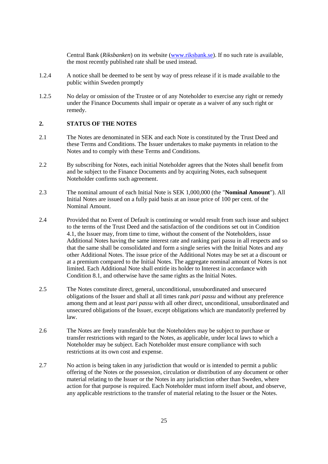Central Bank (*Riksbanken*) on its website [\(www.riksbank.se\)](http://www.riksbank.se/). If no such rate is available, the most recently published rate shall be used instead.

- 1.2.4 A notice shall be deemed to be sent by way of press release if it is made available to the public within Sweden promptly
- 1.2.5 No delay or omission of the Trustee or of any Noteholder to exercise any right or remedy under the Finance Documents shall impair or operate as a waiver of any such right or remedy.

# **2. STATUS OF THE NOTES**

- <span id="page-26-1"></span>2.1 The Notes are denominated in SEK and each Note is constituted by the Trust Deed and these Terms and Conditions. The Issuer undertakes to make payments in relation to the Notes and to comply with these Terms and Conditions.
- 2.2 By subscribing for Notes, each initial Noteholder agrees that the Notes shall benefit from and be subject to the Finance Documents and by acquiring Notes, each subsequent Noteholder confirms such agreement.
- <span id="page-26-0"></span>2.3 The nominal amount of each Initial Note is SEK 1,000,000 (the "**Nominal Amount**"). All Initial Notes are issued on a fully paid basis at an issue price of 100 per cent. of the Nominal Amount.
- 2.4 Provided that no Event of Default is continuing or would result from such issue and subject to the terms of the Trust Deed and the satisfaction of the conditions set out in Condition [4.1,](#page-27-0) the Issuer may, from time to time, without the consent of the Noteholders, issue Additional Notes having the same interest rate and ranking pari passu in all respects and so that the same shall be consolidated and form a single series with the Initial Notes and any other Additional Notes. The issue price of the Additional Notes may be set at a discount or at a premium compared to the Initial Notes. The aggregate nominal amount of Notes is not limited. Each Additional Note shall entitle its holder to Interest in accordance with Condition [8.1,](#page-29-0) and otherwise have the same rights as the Initial Notes.
- <span id="page-26-2"></span>2.5 The Notes constitute direct, general, unconditional, unsubordinated and unsecured obligations of the Issuer and shall at all times rank *pari passu* and without any preference among them and at least *pari passu* with all other direct, unconditional, unsubordinated and unsecured obligations of the Issuer, except obligations which are mandatorily preferred by law.
- 2.6 The Notes are freely transferable but the Noteholders may be subject to purchase or transfer restrictions with regard to the Notes, as applicable, under local laws to which a Noteholder may be subject. Each Noteholder must ensure compliance with such restrictions at its own cost and expense.
- <span id="page-26-3"></span>2.7 No action is being taken in any jurisdiction that would or is intended to permit a public offering of the Notes or the possession, circulation or distribution of any document or other material relating to the Issuer or the Notes in any jurisdiction other than Sweden, where action for that purpose is required. Each Noteholder must inform itself about, and observe, any applicable restrictions to the transfer of material relating to the Issuer or the Notes.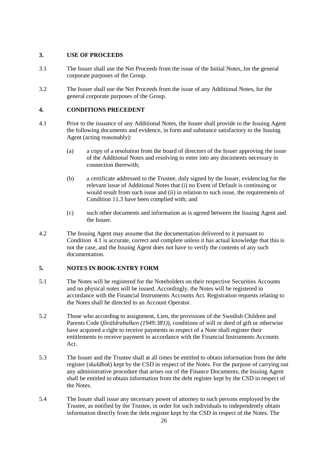# **3. USE OF PROCEEDS**

- 3.1 The Issuer shall use the Net Proceeds from the issue of the Initial Notes, for the general corporate purposes of the Group.
- 3.2 The Issuer shall use the Net Proceeds from the issue of any Additional Notes, for the general corporate purposes of the Group.

# <span id="page-27-3"></span>**4. CONDITIONS PRECEDENT**

- <span id="page-27-0"></span>4.1 Prior to the issuance of any Additional Notes, the Issuer shall provide to the Issuing Agent the following documents and evidence, in form and substance satisfactory to the Issuing Agent (acting reasonably):
	- (a) a copy of a resolution from the board of directors of the Issuer approving the issue of the Additional Notes and resolving to enter into any documents necessary in connection therewith;
	- (b) a certificate addressed to the Trustee, duly signed by the Issuer, evidencing for the relevant issue of Additional Notes that (i) no Event of Default is continuing or would result from such issue and (ii) in relation to such issue, the requirements of Condition [11.3](#page-35-0) have been complied with; and
	- (c) such other documents and information as is agreed between the Issuing Agent and the Issuer.
- 4.2 The Issuing Agent may assume that the documentation delivered to it pursuant to Condition [4.1](#page-27-0) is accurate, correct and complete unless it has actual knowledge that this is not the case, and the Issuing Agent does not have to verify the contents of any such documentation.

# **5. NOTES IN BOOK-ENTRY FORM**

- 5.1 The Notes will be registered for the Noteholders on their respective Securities Accounts and no physical notes will be issued. Accordingly, the Notes will be registered in accordance with the Financial Instruments Accounts Act. Registration requests relating to the Notes shall be directed to an Account Operator.
- 5.2 Those who according to assignment, Lien, the provisions of the Swedish Children and Parents Code (*föräldrabalken (1949:381)*), conditions of will or deed of gift or otherwise have acquired a right to receive payments in respect of a Note shall register their entitlements to receive payment in accordance with the Financial Instruments Accounts Act.
- <span id="page-27-1"></span>5.3 The Issuer and the Trustee shall at all times be entitled to obtain information from the debt register (*skuldbok*) kept by the CSD in respect of the Notes. For the purpose of carrying out any administrative procedure that arises out of the Finance Documents, the Issuing Agent shall be entitled to obtain information from the debt register kept by the CSD in respect of the Notes.
- <span id="page-27-2"></span>5.4 The Issuer shall issue any necessary power of attorney to such persons employed by the Trustee, as notified by the Trustee, in order for such individuals to independently obtain information directly from the debt register kept by the CSD in respect of the Notes. The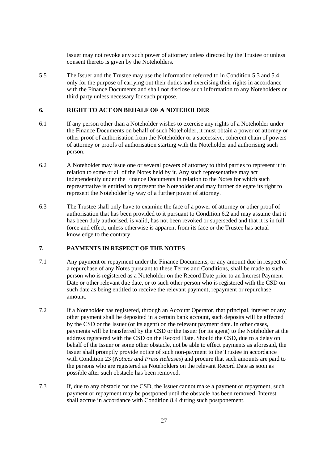Issuer may not revoke any such power of attorney unless directed by the Trustee or unless consent thereto is given by the Noteholders.

5.5 The Issuer and the Trustee may use the information referred to in Condition [5.3](#page-27-1) and [5.4](#page-27-2) only for the purpose of carrying out their duties and exercising their rights in accordance with the Finance Documents and shall not disclose such information to any Noteholders or third party unless necessary for such purpose.

## <span id="page-28-3"></span>**6. RIGHT TO ACT ON BEHALF OF A NOTEHOLDER**

- 6.1 If any person other than a Noteholder wishes to exercise any rights of a Noteholder under the Finance Documents on behalf of such Noteholder, it must obtain a power of attorney or other proof of authorisation from the Noteholder or a successive, coherent chain of powers of attorney or proofs of authorisation starting with the Noteholder and authorising such person.
- <span id="page-28-0"></span>6.2 A Noteholder may issue one or several powers of attorney to third parties to represent it in relation to some or all of the Notes held by it. Any such representative may act independently under the Finance Documents in relation to the Notes for which such representative is entitled to represent the Noteholder and may further delegate its right to represent the Noteholder by way of a further power of attorney.
- 6.3 The Trustee shall only have to examine the face of a power of attorney or other proof of authorisation that has been provided to it pursuant to Condition [6.2](#page-28-0) and may assume that it has been duly authorised, is valid, has not been revoked or superseded and that it is in full force and effect, unless otherwise is apparent from its face or the Trustee has actual knowledge to the contrary.

# <span id="page-28-1"></span>**7. PAYMENTS IN RESPECT OF THE NOTES**

- <span id="page-28-2"></span>7.1 Any payment or repayment under the Finance Documents, or any amount due in respect of a repurchase of any Notes pursuant to these Terms and Conditions, shall be made to such person who is registered as a Noteholder on the Record Date prior to an Interest Payment Date or other relevant due date, or to such other person who is registered with the CSD on such date as being entitled to receive the relevant payment, repayment or repurchase amount.
- 7.2 If a Noteholder has registered, through an Account Operator, that principal, interest or any other payment shall be deposited in a certain bank account, such deposits will be effected by the CSD or the Issuer (or its agent) on the relevant payment date. In other cases, payments will be transferred by the CSD or the Issuer (or its agent) to the Noteholder at the address registered with the CSD on the Record Date. Should the CSD, due to a delay on behalf of the Issuer or some other obstacle, not be able to effect payments as aforesaid, the Issuer shall promptly provide notice of such non-payment to the Trustee in accordance with Condition [23](#page-49-0) (*Notices and Press Releases*) and procure that such amounts are paid to the persons who are registered as Noteholders on the relevant Record Date as soon as possible after such obstacle has been removed.
- 7.3 If, due to any obstacle for the CSD, the Issuer cannot make a payment or repayment, such payment or repayment may be postponed until the obstacle has been removed. Interest shall accrue in accordance with Condition [8.4](#page-29-3) during such postponement.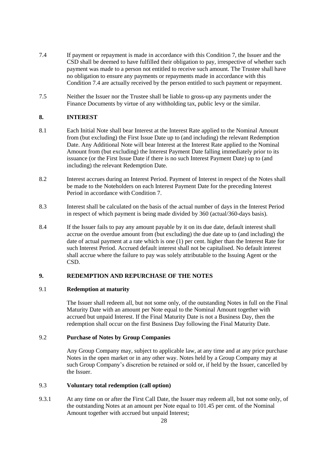- <span id="page-29-4"></span>7.4 If payment or repayment is made in accordance with this Condition [7,](#page-28-1) the Issuer and the CSD shall be deemed to have fulfilled their obligation to pay, irrespective of whether such payment was made to a person not entitled to receive such amount. The Trustee shall have no obligation to ensure any payments or repayments made in accordance with this Condition [7.4](#page-29-4) are actually received by the person entitled to such payment or repayment.
- 7.5 Neither the Issuer nor the Trustee shall be liable to gross-up any payments under the Finance Documents by virtue of any withholding tax, public levy or the similar.

# **8. INTEREST**

- <span id="page-29-0"></span>8.1 Each Initial Note shall bear Interest at the Interest Rate applied to the Nominal Amount from (but excluding) the First Issue Date up to (and including) the relevant Redemption Date. Any Additional Note will bear Interest at the Interest Rate applied to the Nominal Amount from (but excluding) the Interest Payment Date falling immediately prior to its issuance (or the First Issue Date if there is no such Interest Payment Date) up to (and including) the relevant Redemption Date.
- 8.2 Interest accrues during an Interest Period. Payment of Interest in respect of the Notes shall be made to the Noteholders on each Interest Payment Date for the preceding Interest Period in accordance with Condition [7.](#page-28-1)
- <span id="page-29-1"></span>8.3 Interest shall be calculated on the basis of the actual number of days in the Interest Period in respect of which payment is being made divided by 360 (actual/360-days basis).
- <span id="page-29-3"></span>8.4 If the Issuer fails to pay any amount payable by it on its due date, default interest shall accrue on the overdue amount from (but excluding) the due date up to (and including) the date of actual payment at a rate which is one (1) per cent. higher than the Interest Rate for such Interest Period. Accrued default interest shall not be capitalised. No default interest shall accrue where the failure to pay was solely attributable to the Issuing Agent or the CSD.

# <span id="page-29-2"></span>**9. REDEMPTION AND REPURCHASE OF THE NOTES**

# 9.1 **Redemption at maturity**

The Issuer shall redeem all, but not some only, of the outstanding Notes in full on the Final Maturity Date with an amount per Note equal to the Nominal Amount together with accrued but unpaid Interest. If the Final Maturity Date is not a Business Day, then the redemption shall occur on the first Business Day following the Final Maturity Date.

# 9.2 **Purchase of Notes by Group Companies**

Any Group Company may, subject to applicable law, at any time and at any price purchase Notes in the open market or in any other way. Notes held by a Group Company may at such Group Company's discretion be retained or sold or, if held by the Issuer, cancelled by the Issuer.

# <span id="page-29-6"></span>9.3 **Voluntary total redemption (call option)**

<span id="page-29-5"></span>9.3.1 At any time on or after the First Call Date, the Issuer may redeem all, but not some only, of the outstanding Notes at an amount per Note equal to 101.45 per cent. of the Nominal Amount together with accrued but unpaid Interest;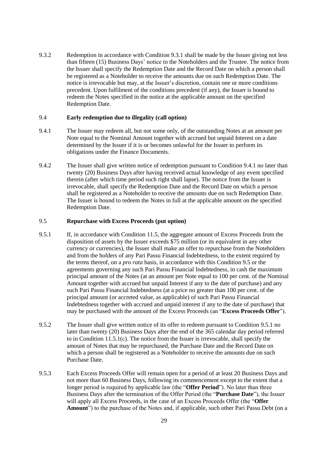9.3.2 Redemption in accordance with Condition [9.3.1](#page-29-5) shall be made by the Issuer giving not less than fifteen (15) Business Days' notice to the Noteholders and the Trustee. The notice from the Issuer shall specify the Redemption Date and the Record Date on which a person shall be registered as a Noteholder to receive the amounts due on such Redemption Date. The notice is irrevocable but may, at the Issuer's discretion, contain one or more conditions precedent. Upon fulfilment of the conditions precedent (if any), the Issuer is bound to redeem the Notes specified in the notice at the applicable amount on the specified Redemption Date.

## <span id="page-30-4"></span>9.4 **Early redemption due to illegality (call option)**

- <span id="page-30-2"></span>9.4.1 The Issuer may redeem all, but not some only, of the outstanding Notes at an amount per Note equal to the Nominal Amount together with accrued but unpaid Interest on a date determined by the Issuer if it is or becomes unlawful for the Issuer to perform its obligations under the Finance Documents.
- 9.4.2 The Issuer shall give written notice of redemption pursuant to Condition [9.4.1](#page-30-2) no later than twenty (20) Business Days after having received actual knowledge of any event specified therein (after which time period such right shall lapse). The notice from the Issuer is irrevocable, shall specify the Redemption Date and the Record Date on which a person shall be registered as a Noteholder to receive the amounts due on such Redemption Date. The Issuer is bound to redeem the Notes in full at the applicable amount on the specified Redemption Date.

## <span id="page-30-3"></span>9.5 **Repurchase with Excess Proceeds (put option)**

- <span id="page-30-0"></span>9.5.1 If, in accordance with Conditio[n 11.5,](#page-35-1) the aggregate amount of Excess Proceeds from the disposition of assets by the Issuer exceeds \$75 million (or its equivalent in any other currency or currencies), the Issuer shall make an offer to repurchase from the Noteholders and from the holders of any Pari Passu Financial Indebtedness, to the extent required by the terms thereof, on a *pro rata* basis, in accordance with this Condition [9.5](#page-30-3) or the agreements governing any such Pari Passu Financial Indebtedness, in cash the maximum principal amount of the Notes (at an amount per Note equal to 100 per cent. of the Nominal Amount together with accrued but unpaid Interest if any to the date of purchase) and any such Pari Passu Financial Indebtedness (at a price no greater than 100 per cent. of the principal amount (or accreted value, as applicable) of such Pari Passu Financial Indebtedness together with accrued and unpaid interest if any to the date of purchase) that may be purchased with the amount of the Excess Proceeds (an "**Excess Proceeds Offer**").
- 9.5.2 The Issuer shall give written notice of its offer to redeem pursuant to Condition [9.5.1](#page-30-0) no later than twenty (20) Business Days after the end of the 365 calendar day period referred to in Condition  $11.5.1(c)$ . The notice from the Issuer is irrevocable, shall specify the amount of Notes that may be repurchased, the Purchase Date and the Record Date on which a person shall be registered as a Noteholder to receive the amounts due on such Purchase Date.
- <span id="page-30-1"></span>9.5.3 Each Excess Proceeds Offer will remain open for a period of at least 20 Business Days and not more than 60 Business Days, following its commencement except to the extent that a longer period is required by applicable law (the "**Offer Period**"). No later than three Business Days after the termination of the Offer Period (the "**Purchase Date**"), the Issuer will apply all Excess Proceeds, in the case of an Excess Proceeds Offer (the "**Offer Amount**") to the purchase of the Notes and, if applicable, such other Pari Passu Debt (on a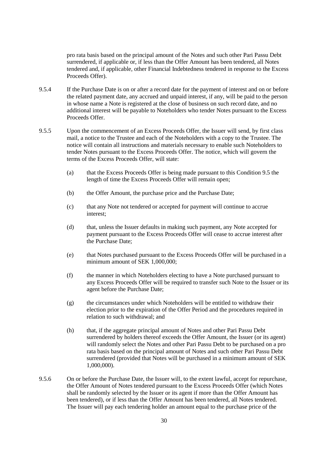pro rata basis based on the principal amount of the Notes and such other Pari Passu Debt surrendered, if applicable or, if less than the Offer Amount has been tendered, all Notes tendered and, if applicable, other Financial Indebtedness tendered in response to the Excess Proceeds Offer).

- 9.5.4 If the Purchase Date is on or after a record date for the payment of interest and on or before the related payment date, any accrued and unpaid interest, if any, will be paid to the person in whose name a Note is registered at the close of business on such record date, and no additional interest will be payable to Noteholders who tender Notes pursuant to the Excess Proceeds Offer.
- 9.5.5 Upon the commencement of an Excess Proceeds Offer, the Issuer will send, by first class mail, a notice to the Trustee and each of the Noteholders with a copy to the Trustee. The notice will contain all instructions and materials necessary to enable such Noteholders to tender Notes pursuant to the Excess Proceeds Offer. The notice, which will govern the terms of the Excess Proceeds Offer, will state:
	- (a) that the Excess Proceeds Offer is being made pursuant to this Condition [9.5](#page-30-3) the length of time the Excess Proceeds Offer will remain open;
	- (b) the Offer Amount, the purchase price and the Purchase Date;
	- (c) that any Note not tendered or accepted for payment will continue to accrue interest;
	- (d) that, unless the Issuer defaults in making such payment, any Note accepted for payment pursuant to the Excess Proceeds Offer will cease to accrue interest after the Purchase Date;
	- (e) that Notes purchased pursuant to the Excess Proceeds Offer will be purchased in a minimum amount of SEK 1,000,000;
	- (f) the manner in which Noteholders electing to have a Note purchased pursuant to any Excess Proceeds Offer will be required to transfer such Note to the Issuer or its agent before the Purchase Date;
	- (g) the circumstances under which Noteholders will be entitled to withdraw their election prior to the expiration of the Offer Period and the procedures required in relation to such withdrawal; and
	- (h) that, if the aggregate principal amount of Notes and other Pari Passu Debt surrendered by holders thereof exceeds the Offer Amount, the Issuer (or its agent) will randomly select the Notes and other Pari Passu Debt to be purchased on a pro rata basis based on the principal amount of Notes and such other Pari Passu Debt surrendered (provided that Notes will be purchased in a minimum amount of SEK 1,000,000).
- 9.5.6 On or before the Purchase Date, the Issuer will, to the extent lawful, accept for repurchase, the Offer Amount of Notes tendered pursuant to the Excess Proceeds Offer (which Notes shall be randomly selected by the Issuer or its agent if more than the Offer Amount has been tendered), or if less than the Offer Amount has been tendered, all Notes tendered. The Issuer will pay each tendering holder an amount equal to the purchase price of the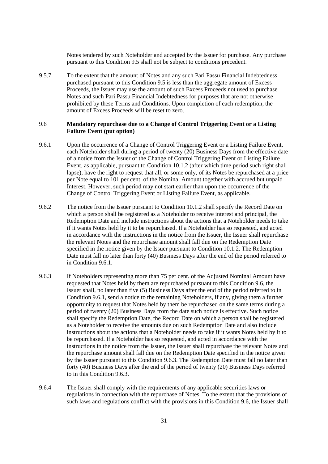Notes tendered by such Noteholder and accepted by the Issuer for purchase. Any purchase pursuant to this Conditio[n 9.5](#page-30-3) shall not be subject to conditions precedent.

9.5.7 To the extent that the amount of Notes and any such Pari Passu Financial Indebtedness purchased pursuant to this Condition [9.5](#page-30-3) is less than the aggregate amount of Excess Proceeds, the Issuer may use the amount of such Excess Proceeds not used to purchase Notes and such Pari Passu Financial Indebtedness for purposes that are not otherwise prohibited by these Terms and Conditions. Upon completion of each redemption, the amount of Excess Proceeds will be reset to zero.

# <span id="page-32-1"></span>9.6 **Mandatory repurchase due to a Change of Control Triggering Event or a Listing Failure Event (put option)**

- <span id="page-32-0"></span>9.6.1 Upon the occurrence of a Change of Control Triggering Event or a Listing Failure Event, each Noteholder shall during a period of twenty (20) Business Days from the effective date of a notice from the Issuer of the Change of Control Triggering Event or Listing Failure Event, as applicable, pursuant to Condition [10.1.2](#page-33-0) (after which time period such right shall lapse), have the right to request that all, or some only, of its Notes be repurchased at a price per Note equal to 101 per cent. of the Nominal Amount together with accrued but unpaid Interest. However, such period may not start earlier than upon the occurrence of the Change of Control Triggering Event or Listing Failure Event, as applicable.
- 9.6.2 The notice from the Issuer pursuant to Condition [10.1.2](#page-33-0) shall specify the Record Date on which a person shall be registered as a Noteholder to receive interest and principal, the Redemption Date and include instructions about the actions that a Noteholder needs to take if it wants Notes held by it to be repurchased. If a Noteholder has so requested, and acted in accordance with the instructions in the notice from the Issuer, the Issuer shall repurchase the relevant Notes and the repurchase amount shall fall due on the Redemption Date specified in the notice given by the Issuer pursuant to Condition [10.1.2.](#page-33-0) The Redemption Date must fall no later than forty (40) Business Days after the end of the period referred to in Condition [9.6.1.](#page-32-0)
- <span id="page-32-2"></span>9.6.3 If Noteholders representing more than 75 per cent. of the Adjusted Nominal Amount have requested that Notes held by them are repurchased pursuant to this Condition [9.6,](#page-32-1) the Issuer shall, no later than five (5) Business Days after the end of the period referred to in Condition [9.6.1,](#page-32-0) send a notice to the remaining Noteholders, if any, giving them a further opportunity to request that Notes held by them be repurchased on the same terms during a period of twenty (20) Business Days from the date such notice is effective. Such notice shall specify the Redemption Date, the Record Date on which a person shall be registered as a Noteholder to receive the amounts due on such Redemption Date and also include instructions about the actions that a Noteholder needs to take if it wants Notes held by it to be repurchased. If a Noteholder has so requested, and acted in accordance with the instructions in the notice from the Issuer, the Issuer shall repurchase the relevant Notes and the repurchase amount shall fall due on the Redemption Date specified in the notice given by the Issuer pursuant to this Condition [9.6.3.](#page-32-2) The Redemption Date must fall no later than forty (40) Business Days after the end of the period of twenty (20) Business Days referred to in this Condition [9.6.3.](#page-32-2)
- 9.6.4 The Issuer shall comply with the requirements of any applicable securities laws or regulations in connection with the repurchase of Notes. To the extent that the provisions of such laws and regulations conflict with the provisions in this Condition [9.6,](#page-32-1) the Issuer shall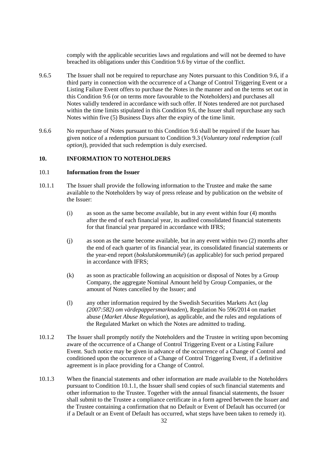comply with the applicable securities laws and regulations and will not be deemed to have breached its obligations under this Condition [9.6](#page-32-1) by virtue of the conflict.

- 9.6.5 The Issuer shall not be required to repurchase any Notes pursuant to this Condition [9.6,](#page-32-1) if a third party in connection with the occurrence of a Change of Control Triggering Event or a Listing Failure Event offers to purchase the Notes in the manner and on the terms set out in this Condition [9.6](#page-32-1) (or on terms more favourable to the Noteholders) and purchases all Notes validly tendered in accordance with such offer. If Notes tendered are not purchased within the time limits stipulated in this Conditio[n 9.6,](#page-32-1) the Issuer shall repurchase any such Notes within five (5) Business Days after the expiry of the time limit.
- 9.6.6 No repurchase of Notes pursuant to this Condition [9.6](#page-32-1) shall be required if the Issuer has given notice of a redemption pursuant to Condition [9.3](#page-29-6) (*Voluntary total redemption (call option)*), provided that such redemption is duly exercised.

### <span id="page-33-2"></span>**10. INFORMATION TO NOTEHOLDERS**

# 10.1 **Information from the Issuer**

- <span id="page-33-1"></span>10.1.1 The Issuer shall provide the following information to the Trustee and make the same available to the Noteholders by way of press release and by publication on the website of the Issuer:
	- (i) as soon as the same become available, but in any event within four (4) months after the end of each financial year, its audited consolidated financial statements for that financial year prepared in accordance with IFRS;
	- (j) as soon as the same become available, but in any event within two (2) months after the end of each quarter of its financial year, its consolidated financial statements or the year-end report (*bokslutskommuniké*) (as applicable) for such period prepared in accordance with IFRS;
	- (k) as soon as practicable following an acquisition or disposal of Notes by a Group Company, the aggregate Nominal Amount held by Group Companies, or the amount of Notes cancelled by the Issuer; and
	- (l) any other information required by the Swedish Securities Markets Act (*lag (2007:582) om värdepappersmarknaden*), Regulation No 596/2014 on market abuse (*Market Abuse Regulation*), as applicable, and the rules and regulations of the Regulated Market on which the Notes are admitted to trading.
- <span id="page-33-0"></span>10.1.2 The Issuer shall promptly notify the Noteholders and the Trustee in writing upon becoming aware of the occurrence of a Change of Control Triggering Event or a Listing Failure Event. Such notice may be given in advance of the occurrence of a Change of Control and conditioned upon the occurrence of a Change of Control Triggering Event, if a definitive agreement is in place providing for a Change of Control.
- 10.1.3 When the financial statements and other information are made available to the Noteholders pursuant to Condition [10.1.1,](#page-33-1) the Issuer shall send copies of such financial statements and other information to the Trustee. Together with the annual financial statements, the Issuer shall submit to the Trustee a compliance certificate in a form agreed between the Issuer and the Trustee containing a confirmation that no Default or Event of Default has occurred (or if a Default or an Event of Default has occurred, what steps have been taken to remedy it).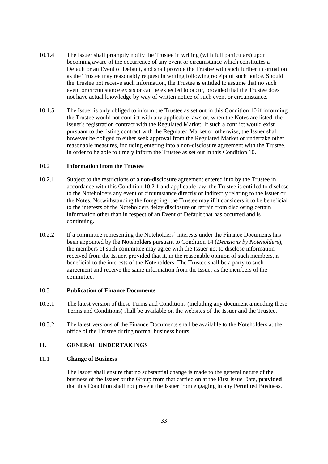- 10.1.4 The Issuer shall promptly notify the Trustee in writing (with full particulars) upon becoming aware of the occurrence of any event or circumstance which constitutes a Default or an Event of Default, and shall provide the Trustee with such further information as the Trustee may reasonably request in writing following receipt of such notice. Should the Trustee not receive such information, the Trustee is entitled to assume that no such event or circumstance exists or can be expected to occur, provided that the Trustee does not have actual knowledge by way of written notice of such event or circumstance.
- 10.1.5 The Issuer is only obliged to inform the Trustee as set out in this Condition [10](#page-33-2) if informing the Trustee would not conflict with any applicable laws or, when the Notes are listed, the Issuer's registration contract with the Regulated Market. If such a conflict would exist pursuant to the listing contract with the Regulated Market or otherwise, the Issuer shall however be obliged to either seek approval from the Regulated Market or undertake other reasonable measures, including entering into a non-disclosure agreement with the Trustee, in order to be able to timely inform the Trustee as set out in this Condition [10.](#page-33-2)

# 10.2 **Information from the Trustee**

- <span id="page-34-0"></span>10.2.1 Subject to the restrictions of a non-disclosure agreement entered into by the Trustee in accordance with this Condition [10.2.1](#page-34-0) and applicable law, the Trustee is entitled to disclose to the Noteholders any event or circumstance directly or indirectly relating to the Issuer or the Notes. Notwithstanding the foregoing, the Trustee may if it considers it to be beneficial to the interests of the Noteholders delay disclosure or refrain from disclosing certain information other than in respect of an Event of Default that has occurred and is continuing.
- 10.2.2 If a committee representing the Noteholders' interests under the Finance Documents has been appointed by the Noteholders pursuant to Condition [14](#page-41-0) (*Decisions by Noteholders*), the members of such committee may agree with the Issuer not to disclose information received from the Issuer, provided that it, in the reasonable opinion of such members, is beneficial to the interests of the Noteholders. The Trustee shall be a party to such agreement and receive the same information from the Issuer as the members of the committee.

#### <span id="page-34-1"></span>10.3 **Publication of Finance Documents**

- 10.3.1 The latest version of these Terms and Conditions (including any document amending these Terms and Conditions) shall be available on the websites of the Issuer and the Trustee.
- 10.3.2 The latest versions of the Finance Documents shall be available to the Noteholders at the office of the Trustee during normal business hours.

#### **11. GENERAL UNDERTAKINGS**

## 11.1 **Change of Business**

The Issuer shall ensure that no substantial change is made to the general nature of the business of the Issuer or the Group from that carried on at the First Issue Date, **provided** that this Condition shall not prevent the Issuer from engaging in any Permitted Business.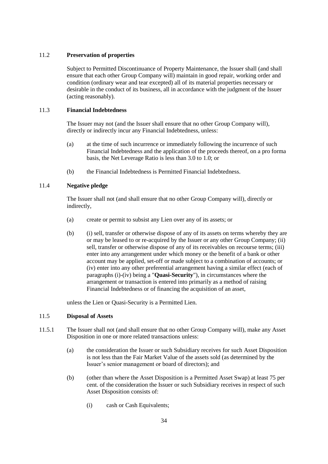# 11.2 **Preservation of properties**

Subject to Permitted Discontinuance of Property Maintenance, the Issuer shall (and shall ensure that each other Group Company will) maintain in good repair, working order and condition (ordinary wear and tear excepted) all of its material properties necessary or desirable in the conduct of its business, all in accordance with the judgment of the Issuer (acting reasonably).

# <span id="page-35-0"></span>11.3 **Financial Indebtedness**

The Issuer may not (and the Issuer shall ensure that no other Group Company will), directly or indirectly incur any Financial Indebtedness, unless:

- <span id="page-35-2"></span>(a) at the time of such incurrence or immediately following the incurrence of such Financial Indebtedness and the application of the proceeds thereof, on a pro forma basis, the Net Leverage Ratio is less than 3.0 to 1.0; or
- (b) the Financial Indebtedness is Permitted Financial Indebtedness.

# <span id="page-35-3"></span>11.4 **Negative pledge**

The Issuer shall not (and shall ensure that no other Group Company will), directly or indirectly,

- (a) create or permit to subsist any Lien over any of its assets; or
- (b) (i) sell, transfer or otherwise dispose of any of its assets on terms whereby they are or may be leased to or re-acquired by the Issuer or any other Group Company; (ii) sell, transfer or otherwise dispose of any of its receivables on recourse terms; (iii) enter into any arrangement under which money or the benefit of a bank or other account may be applied, set-off or made subject to a combination of accounts; or (iv) enter into any other preferential arrangement having a similar effect (each of paragraphs (i)-(iv) being a "**Quasi-Security**"), in circumstances where the arrangement or transaction is entered into primarily as a method of raising Financial Indebtedness or of financing the acquisition of an asset,

unless the Lien or Quasi-Security is a Permitted Lien.

# <span id="page-35-1"></span>11.5 **Disposal of Assets**

- <span id="page-35-5"></span><span id="page-35-4"></span>11.5.1 The Issuer shall not (and shall ensure that no other Group Company will), make any Asset Disposition in one or more related transactions unless:
	- (a) the consideration the Issuer or such Subsidiary receives for such Asset Disposition is not less than the Fair Market Value of the assets sold (as determined by the Issuer's senior management or board of directors); and
	- (b) (other than where the Asset Disposition is a Permitted Asset Swap) at least 75 per cent. of the consideration the Issuer or such Subsidiary receives in respect of such Asset Disposition consists of:
		- (i) cash or Cash Equivalents;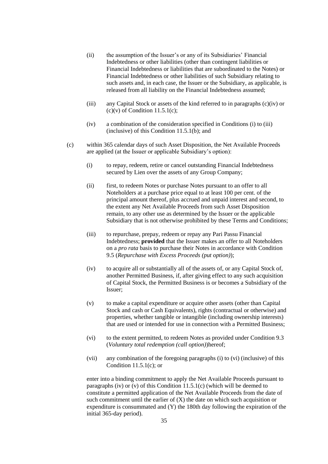- (ii) the assumption of the Issuer's or any of its Subsidiaries' Financial Indebtedness or other liabilities (other than contingent liabilities or Financial Indebtedness or liabilities that are subordinated to the Notes) or Financial Indebtedness or other liabilities of such Subsidiary relating to such assets and, in each case, the Issuer or the Subsidiary, as applicable, is released from all liability on the Financial Indebtedness assumed;
- <span id="page-36-2"></span>(iii) any Capital Stock or assets of the kind referred to in paragraphs [\(c\)\(iv\)](#page-36-0) or  $(c)(v)$  of Condition 11.5.1 $(c)$ ;
- (iv) a combination of the consideration specified in Conditions [\(i\)](#page-35-5) to [\(iii\)](#page-36-2) (inclusive) of this Condition [11.5.1\(b\);](#page-35-4) and
- <span id="page-36-3"></span>(c) within 365 calendar days of such Asset Disposition, the Net Available Proceeds are applied (at the Issuer or applicable Subsidiary's option):
	- (i) to repay, redeem, retire or cancel outstanding Financial Indebtedness secured by Lien over the assets of any Group Company;
	- (ii) first, to redeem Notes or purchase Notes pursuant to an offer to all Noteholders at a purchase price equal to at least 100 per cent. of the principal amount thereof, plus accrued and unpaid interest and second, to the extent any Net Available Proceeds from such Asset Disposition remain, to any other use as determined by the Issuer or the applicable Subsidiary that is not otherwise prohibited by these Terms and Conditions;
	- (iii) to repurchase, prepay, redeem or repay any Pari Passu Financial Indebtedness; **provided** that the Issuer makes an offer to all Noteholders on a *pro rata* basis to purchase their Notes in accordance with Condition [9.5](#page-30-3) (*Repurchase with Excess Proceeds (put option)*);
	- (iv) to acquire all or substantially all of the assets of, or any Capital Stock of, another Permitted Business, if, after giving effect to any such acquisition of Capital Stock, the Permitted Business is or becomes a Subsidiary of the Issuer;
	- (v) to make a capital expenditure or acquire other assets (other than Capital Stock and cash or Cash Equivalents), rights (contractual or otherwise) and properties, whether tangible or intangible (including ownership interests) that are used or intended for use in connection with a Permitted Business;
	- (vi) to the extent permitted, to redeem Notes as provided under Condition [9.3](#page-29-6) (*Voluntary total redemption (call option)*)hereof;
	- (vii) any combination of the foregoing paragraphs [\(i\)](#page-36-3) to [\(vi\)](#page-36-4) (inclusive) of this Condition [11.5.1\(c\);](#page-35-4) or

<span id="page-36-4"></span><span id="page-36-1"></span><span id="page-36-0"></span>enter into a binding commitment to apply the Net Available Proceeds pursuant to paragraphs [\(iv\)](#page-36-0) or [\(v\)](#page-36-1) of this Condition  $11.5.1(c)$  (which will be deemed to constitute a permitted application of the Net Available Proceeds from the date of such commitment until the earlier of  $(X)$  the date on which such acquisition or expenditure is consummated and (Y) the 180th day following the expiration of the initial 365-day period).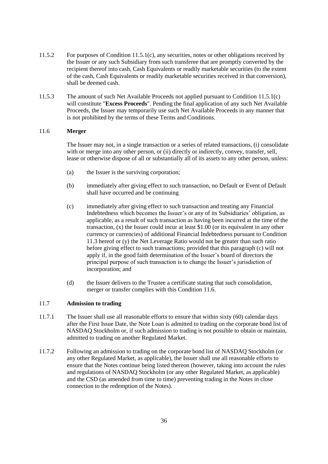- 11.5.2 For purposes of Condition [11.5.1\(c\),](#page-35-4) any securities, notes or other obligations received by the Issuer or any such Subsidiary from such transferee that are promptly converted by the recipient thereof into cash, Cash Equivalents or readily marketable securities (to the extent of the cash, Cash Equivalents or readily marketable securities received in that conversion), shall be deemed cash.
- <span id="page-37-1"></span>11.5.3 The amount of such Net Available Proceeds not applied pursuant to Condition [11.5.1\(c\)](#page-35-4) will constitute "**Excess Proceeds**". Pending the final application of any such Net Available Proceeds, the Issuer may temporarily use such Net Available Proceeds in any manner that is not prohibited by the terms of these Terms and Conditions.

## <span id="page-37-0"></span>11.6 **Merger**

The Issuer may not, in a single transaction or a series of related transactions, (i) consolidate with or merge into any other person, or (ii) directly or indirectly, convey, transfer, sell, lease or otherwise dispose of all or substantially all of its assets to any other person, unless:

- (a) the Issuer is the surviving corporation;
- (b) immediately after giving effect to such transaction, no Default or Event of Default shall have occurred and be continuing
- (c) immediately after giving effect to such transaction and treating any Financial Indebtedness which becomes the Issuer's or any of its Subsidiaries' obligation, as applicable, as a result of such transaction as having been incurred at the time of the transaction, (x) the Issuer could incur at least \$1.00 (or its equivalent in any other currency or currencies) of additional Financial Indebtedness pursuant to Condition [11.3](#page-35-0) hereof or (y) the Net Leverage Ratio would not be greater than such ratio before giving effect to such transactions; provided that this paragraph (c) will not apply if, in the good faith determination of the Issuer's board of directors the principal purpose of such transaction is to change the Issuer's jurisdiction of incorporation; and
- (d) the Issuer delivers to the Trustee a certificate stating that such consolidation, merger or transfer complies with this Conditio[n 11.6.](#page-37-0)

### 11.7 **Admission to trading**

- 11.7.1 The Issuer shall use all reasonable efforts to ensure that within sixty (60) calendar days after the First Issue Date, the Note Loan is admitted to trading on the corporate bond list of NASDAQ Stockholm or, if such admission to trading is not possible to obtain or maintain, admitted to trading on another Regulated Market.
- 11.7.2 Following an admission to trading on the corporate bond list of NASDAQ Stockholm (or any other Regulated Market, as applicable), the Issuer shall use all reasonable efforts to ensure that the Notes continue being listed thereon (however, taking into account the rules and regulations of NASDAQ Stockholm (or any other Regulated Market, as applicable) and the CSD (as amended from time to time) preventing trading in the Notes in close connection to the redemption of the Notes).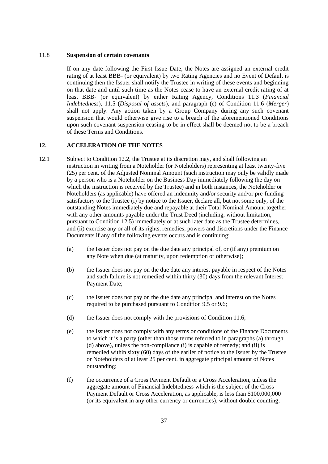#### <span id="page-38-4"></span>11.8 **Suspension of certain covenants**

If on any date following the First Issue Date, the Notes are assigned an external credit rating of at least BBB- (or equivalent) by two Rating Agencies and no Event of Default is continuing then the Issuer shall notify the Trustee in writing of these events and beginning on that date and until such time as the Notes cease to have an external credit rating of at least BBB- (or equivalent) by either Rating Agency, Conditions 11.3 (*Financial Indebtedness*), 11.5 (*Disposal of assets*), and paragraph (c) of Condition 11.6 (*Merger*) shall not apply. Any action taken by a Group Company during any such covenant suspension that would otherwise give rise to a breach of the aforementioned Conditions upon such covenant suspension ceasing to be in effect shall be deemed not to be a breach of these Terms and Conditions.

## <span id="page-38-3"></span>**12. ACCELERATION OF THE NOTES**

- <span id="page-38-2"></span><span id="page-38-1"></span><span id="page-38-0"></span>12.1 Subject to Condition [12.2,](#page-39-0) the Trustee at its discretion may, and shall following an instruction in writing from a Noteholder (or Noteholders) representing at least twenty-five (25) per cent. of the Adjusted Nominal Amount (such instruction may only be validly made by a person who is a Noteholder on the Business Day immediately following the day on which the instruction is received by the Trustee) and in both instances, the Noteholder or Noteholders (as applicable) have offered an indemnity and/or security and/or pre-funding satisfactory to the Trustee (i) by notice to the Issuer, declare all, but not some only, of the outstanding Notes immediately due and repayable at their Total Nominal Amount together with any other amounts payable under the Trust Deed (including, without limitation, pursuant to Condition [12.5\)](#page-40-1) immediately or at such later date as the Trustee determines, and (ii) exercise any or all of its rights, remedies, powers and discretions under the Finance Documents if any of the following events occurs and is continuing:
	- (a) the Issuer does not pay on the due date any principal of, or (if any) premium on any Note when due (at maturity, upon redemption or otherwise);
	- (b) the Issuer does not pay on the due date any interest payable in respect of the Notes and such failure is not remedied within thirty (30) days from the relevant Interest Payment Date;
	- (c) the Issuer does not pay on the due date any principal and interest on the Notes required to be purchased pursuant to Condition [9.5](#page-30-3) o[r 9.6;](#page-32-1)
	- (d) the Issuer does not comply with the provisions of Condition [11.6;](#page-37-0)
	- (e) the Issuer does not comply with any terms or conditions of the Finance Documents to which it is a party (other than those terms referred to in paragraphs [\(a\)](#page-38-1) through [\(d\)](#page-38-2) above), unless the non-compliance (i) is capable of remedy; and (ii) is remedied within sixty (60) days of the earlier of notice to the Issuer by the Trustee or Noteholders of at least 25 per cent. in aggregate principal amount of Notes outstanding;
	- (f) the occurrence of a Cross Payment Default or a Cross Acceleration, unless the aggregate amount of Financial Indebtedness which is the subject of the Cross Payment Default or Cross Acceleration, as applicable, is less than \$100,000,000 (or its equivalent in any other currency or currencies), without double counting;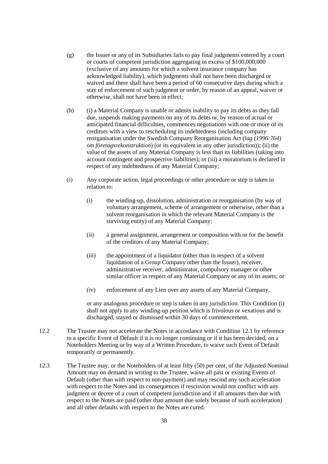- (g) the Issuer or any of its Subsidiaries fails to pay final judgments entered by a court or courts of competent jurisdiction aggregating in excess of \$100,000,000 (exclusive of any amounts for which a solvent insurance company has acknowledged liability), which judgments shall not have been discharged or waived and there shall have been a period of 60 consecutive days during which a stay of enforcement of such judgment or order, by reason of an appeal, waiver or otherwise, shall not have been in effect;
- (h) (i) a Material Company is unable or admits inability to pay its debts as they fall due, suspends making payments on any of its debts or, by reason of actual or anticipated financial difficulties, commences negotiations with one or more of its creditors with a view to rescheduling its indebtedness (including company reorganisation under the Swedish Company Reorganisation Act (*lag (1996:764) om företagsrekonstruktion*) (or its equivalent in any other jurisdiction)); (ii) the value of the assets of any Material Company is less than its liabilities (taking into account contingent and prospective liabilities); or (iii) a moratorium is declared in respect of any indebtedness of any Material Company;
- <span id="page-39-1"></span>(i) Any corporate action, legal proceedings or other procedure or step is taken in relation to:
	- (i) the winding-up, dissolution, administration or reorganisation (by way of voluntary arrangement, scheme of arrangement or otherwise, other than a solvent reorganisation in which the relevant Material Company is the surviving entity) of any Material Company;
	- (ii) a general assignment, arrangement or composition with or for the benefit of the creditors of any Material Company;
	- (iii) the appointment of a liquidator (other than in respect of a solvent liquidation of a Group Company other than the Issuer), receiver, administrative receiver, administrator, compulsory manager or other similar officer in respect of any Material Company or any of its assets; or
	- (iv) enforcement of any Lien over any assets of any Material Company,

or any analogous procedure or step is taken in any jurisdiction. This Condition [\(i\)](#page-39-1) shall not apply to any winding-up petition which is frivolous or vexatious and is discharged, stayed or dismissed within 30 days of commencement.

- <span id="page-39-0"></span>12.2 The Trustee may not accelerate the Notes in accordance with Condition [12.1](#page-38-0) by reference to a specific Event of Default if it is no longer continuing or if it has been decided, on a Noteholders Meeting or by way of a Written Procedure, to waive such Event of Default temporarily or permanently.
- 12.3 The Trustee may, or the Noteholders of at least fifty (50) per cent. of the Adjusted Nominal Amount may on demand in writing to the Trustee, waive all past or existing Events of Default (other than with respect to non-payment) and may rescind any such acceleration with respect to the Notes and its consequences if rescission would not conflict with any judgment or decree of a court of competent jurisdiction and if all amounts then due with respect to the Notes are paid (other than amount due solely because of such acceleration) and all other defaults with respect to the Notes are cured.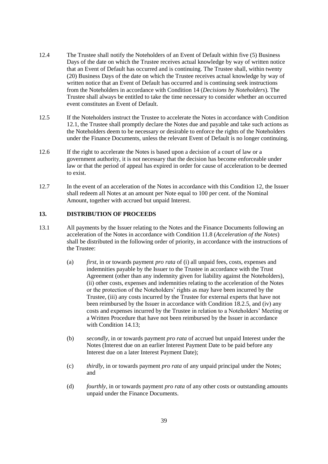- <span id="page-40-3"></span>12.4 The Trustee shall notify the Noteholders of an Event of Default within five (5) Business Days of the date on which the Trustee receives actual knowledge by way of written notice that an Event of Default has occurred and is continuing. The Trustee shall, within twenty (20) Business Days of the date on which the Trustee receives actual knowledge by way of written notice that an Event of Default has occurred and is continuing seek instructions from the Noteholders in accordance with Condition [14](#page-41-0) (*Decisions by Noteholders*). The Trustee shall always be entitled to take the time necessary to consider whether an occurred event constitutes an Event of Default.
- <span id="page-40-1"></span>12.5 If the Noteholders instruct the Trustee to accelerate the Notes in accordance with Condition [12.1,](#page-38-0) the Trustee shall promptly declare the Notes due and payable and take such actions as the Noteholders deem to be necessary or desirable to enforce the rights of the Noteholders under the Finance Documents, unless the relevant Event of Default is no longer continuing.
- 12.6 If the right to accelerate the Notes is based upon a decision of a court of law or a government authority, it is not necessary that the decision has become enforceable under law or that the period of appeal has expired in order for cause of acceleration to be deemed to exist.
- 12.7 In the event of an acceleration of the Notes in accordance with this Condition [12,](#page-38-3) the Issuer shall redeem all Notes at an amount per Note equal to 100 per cent. of the Nominal Amount, together with accrued but unpaid Interest.

# <span id="page-40-0"></span>**13. DISTRIBUTION OF PROCEEDS**

- <span id="page-40-2"></span>13.1 All payments by the Issuer relating to the Notes and the Finance Documents following an acceleration of the Notes in accordance with Condition [11.8](#page-38-4) (*Acceleration of the Notes*) shall be distributed in the following order of priority, in accordance with the instructions of the Trustee:
	- (a) *first*, in or towards payment *pro rata* of (i) all unpaid fees, costs, expenses and indemnities payable by the Issuer to the Trustee in accordance with the Trust Agreement (other than any indemnity given for liability against the Noteholders), (ii) other costs, expenses and indemnities relating to the acceleration of the Notes or the protection of the Noteholders' rights as may have been incurred by the Trustee, (iii) any costs incurred by the Trustee for external experts that have not been reimbursed by the Issuer in accordance with Condition [18.2.5,](#page-46-0) and (iv) any costs and expenses incurred by the Trustee in relation to a Noteholders' Meeting or a Written Procedure that have not been reimbursed by the Issuer in accordance with Condition 14.13:
	- (b) *secondly*, in or towards payment *pro rata* of accrued but unpaid Interest under the Notes (Interest due on an earlier Interest Payment Date to be paid before any Interest due on a later Interest Payment Date);
	- (c) *thirdly*, in or towards payment *pro rata* of any unpaid principal under the Notes; and
	- (d) *fourthly*, in or towards payment *pro rata* of any other costs or outstanding amounts unpaid under the Finance Documents.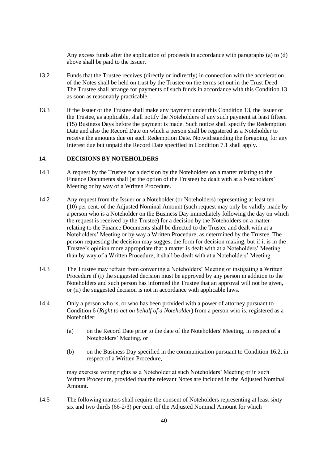Any excess funds after the application of proceeds in accordance with paragraphs (a) to [\(d\)](#page-40-2) above shall be paid to the Issuer.

- 13.2 Funds that the Trustee receives (directly or indirectly) in connection with the acceleration of the Notes shall be held on trust by the Trustee on the terms set out in the Trust Deed. The Trustee shall arrange for payments of such funds in accordance with this Condition [13](#page-40-0) as soon as reasonably practicable.
- 13.3 If the Issuer or the Trustee shall make any payment under this Condition [13,](#page-40-0) the Issuer or the Trustee, as applicable, shall notify the Noteholders of any such payment at least fifteen (15) Business Days before the payment is made. Such notice shall specify the Redemption Date and also the Record Date on which a person shall be registered as a Noteholder to receive the amounts due on such Redemption Date. Notwithstanding the foregoing, for any Interest due but unpaid the Record Date specified in Condition [7.1](#page-28-2) shall apply.

## <span id="page-41-0"></span>**14. DECISIONS BY NOTEHOLDERS**

- 14.1 A request by the Trustee for a decision by the Noteholders on a matter relating to the Finance Documents shall (at the option of the Trustee) be dealt with at a Noteholders' Meeting or by way of a Written Procedure.
- 14.2 Any request from the Issuer or a Noteholder (or Noteholders) representing at least ten (10) per cent. of the Adjusted Nominal Amount (such request may only be validly made by a person who is a Noteholder on the Business Day immediately following the day on which the request is received by the Trustee) for a decision by the Noteholders on a matter relating to the Finance Documents shall be directed to the Trustee and dealt with at a Noteholders' Meeting or by way a Written Procedure, as determined by the Trustee. The person requesting the decision may suggest the form for decision making, but if it is in the Trustee's opinion more appropriate that a matter is dealt with at a Noteholders' Meeting than by way of a Written Procedure, it shall be dealt with at a Noteholders' Meeting.
- 14.3 The Trustee may refrain from convening a Noteholders' Meeting or instigating a Written Procedure if (i) the suggested decision must be approved by any person in addition to the Noteholders and such person has informed the Trustee that an approval will not be given, or (ii) the suggested decision is not in accordance with applicable laws.
- 14.4 Only a person who is, or who has been provided with a power of attorney pursuant to Condition [6](#page-28-3) (*Right to act on behalf of a Noteholder*) from a person who is, registered as a Noteholder:
	- (a) on the Record Date prior to the date of the Noteholders' Meeting, in respect of a Noteholders' Meeting, or
	- (b) on the Business Day specified in the communication pursuant to Condition [16.2,](#page-44-1) in respect of a Written Procedure,

may exercise voting rights as a Noteholder at such Noteholders' Meeting or in such Written Procedure, provided that the relevant Notes are included in the Adjusted Nominal Amount.

<span id="page-41-1"></span>14.5 The following matters shall require the consent of Noteholders representing at least sixty six and two thirds (66-2/3) per cent. of the Adjusted Nominal Amount for which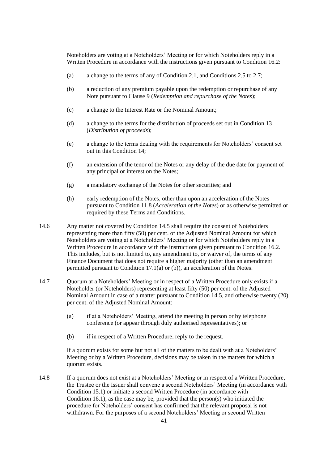Noteholders are voting at a Noteholders' Meeting or for which Noteholders reply in a Written Procedure in accordance with the instructions given pursuant to Condition [16.2:](#page-44-1)

- (a) a change to the terms of any of Condition [2.1,](#page-26-1) and Conditions [2.5](#page-26-2) to [2.7;](#page-26-3)
- (b) a reduction of any premium payable upon the redemption or repurchase of any Note pursuant to Clause [9](#page-29-2) (*Redemption and repurchase of the Notes*);
- (c) a change to the Interest Rate or the Nominal Amount;
- (d) a change to the terms for the distribution of proceeds set out in Condition [13](#page-40-0) (*Distribution of proceeds*);
- (e) a change to the terms dealing with the requirements for Noteholders' consent set out in this Condition [14;](#page-41-0)
- (f) an extension of the tenor of the Notes or any delay of the due date for payment of any principal or interest on the Notes;
- (g) a mandatory exchange of the Notes for other securities; and
- (h) early redemption of the Notes, other than upon an acceleration of the Notes pursuant to Condition [11.8](#page-38-4) (*Acceleration of the Notes*) or as otherwise permitted or required by these Terms and Conditions.
- <span id="page-42-2"></span>14.6 Any matter not covered by Condition [14.5](#page-41-1) shall require the consent of Noteholders representing more than fifty (50) per cent. of the Adjusted Nominal Amount for which Noteholders are voting at a Noteholders' Meeting or for which Noteholders reply in a Written Procedure in accordance with the instructions given pursuant to Condition [16.2.](#page-44-1) This includes, but is not limited to, any amendment to, or waiver of, the terms of any Finance Document that does not require a higher majority (other than an amendment permitted pursuant to Condition [17.1\(a\)](#page-45-0) or [\(b\)\)](#page-45-1), an acceleration of the Notes.
- <span id="page-42-1"></span>14.7 Quorum at a Noteholders' Meeting or in respect of a Written Procedure only exists if a Noteholder (or Noteholders) representing at least fifty (50) per cent. of the Adjusted Nominal Amount in case of a matter pursuant to Condition [14.5,](#page-41-1) and otherwise twenty (20) per cent. of the Adjusted Nominal Amount:
	- (a) if at a Noteholders' Meeting, attend the meeting in person or by telephone conference (or appear through duly authorised representatives); or
	- (b) if in respect of a Written Procedure, reply to the request.

If a quorum exists for some but not all of the matters to be dealt with at a Noteholders' Meeting or by a Written Procedure, decisions may be taken in the matters for which a quorum exists.

<span id="page-42-0"></span>14.8 If a quorum does not exist at a Noteholders' Meeting or in respect of a Written Procedure, the Trustee or the Issuer shall convene a second Noteholders' Meeting (in accordance with Condition [15.1\)](#page-43-2) or initiate a second Written Procedure (in accordance with Condition [16.1\)](#page-44-2), as the case may be, provided that the person(s) who initiated the procedure for Noteholders' consent has confirmed that the relevant proposal is not withdrawn. For the purposes of a second Noteholders' Meeting or second Written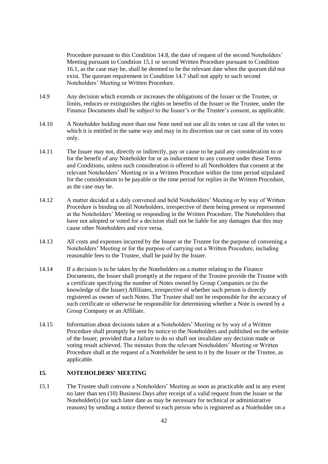Procedure pursuant to this Condition [14.8,](#page-42-0) the date of request of the second Noteholders' Meeting pursuant to Condition [15.1](#page-43-2) or second Written Procedure pursuant to Condition [16.1,](#page-44-2) as the case may be, shall be deemed to be the relevant date when the quorum did not exist. The quorum requirement in Condition [14.7](#page-42-1) shall not apply to such second Noteholders' Meeting or Written Procedure.

- 14.9 Any decision which extends or increases the obligations of the Issuer or the Trustee, or limits, reduces or extinguishes the rights or benefits of the Issuer or the Trustee, under the Finance Documents shall be subject to the Issuer's or the Trustee's consent, as applicable.
- 14.10 A Noteholder holding more than one Note need not use all its votes or cast all the votes to which it is entitled in the same way and may in its discretion use or cast some of its votes only.
- 14.11 The Issuer may not, directly or indirectly, pay or cause to be paid any consideration to or for the benefit of any Noteholder for or as inducement to any consent under these Terms and Conditions, unless such consideration is offered to all Noteholders that consent at the relevant Noteholders' Meeting or in a Written Procedure within the time period stipulated for the consideration to be payable or the time period for replies in the Written Procedure, as the case may be.
- 14.12 A matter decided at a duly convened and held Noteholders' Meeting or by way of Written Procedure is binding on all Noteholders, irrespective of them being present or represented at the Noteholders' Meeting or responding in the Written Procedure. The Noteholders that have not adopted or voted for a decision shall not be liable for any damages that this may cause other Noteholders and vice versa.
- <span id="page-43-1"></span>14.13 All costs and expenses incurred by the Issuer or the Trustee for the purpose of convening a Noteholders' Meeting or for the purpose of carrying out a Written Procedure, including reasonable fees to the Trustee, shall be paid by the Issuer.
- 14.14 If a decision is to be taken by the Noteholders on a matter relating to the Finance Documents, the Issuer shall promptly at the request of the Trustee provide the Trustee with a certificate specifying the number of Notes owned by Group Companies or (to the knowledge of the Issuer) Affiliates, irrespective of whether such person is directly registered as owner of such Notes. The Trustee shall not be responsible for the accuracy of such certificate or otherwise be responsible for determining whether a Note is owned by a Group Company or an Affiliate.
- <span id="page-43-3"></span>14.15 Information about decisions taken at a Noteholders' Meeting or by way of a Written Procedure shall promptly be sent by notice to the Noteholders and published on the website of the Issuer, provided that a failure to do so shall not invalidate any decision made or voting result achieved. The minutes from the relevant Noteholders' Meeting or Written Procedure shall at the request of a Noteholder be sent to it by the Issuer or the Trustee, as applicable.

# <span id="page-43-0"></span>**15. NOTEHOLDERS' MEETING**

<span id="page-43-2"></span>15.1 The Trustee shall convene a Noteholders' Meeting as soon as practicable and in any event no later than ten (10) Business Days after receipt of a valid request from the Issuer or the Noteholder(s) (or such later date as may be necessary for technical or administrative reasons) by sending a notice thereof to each person who is registered as a Noteholder on a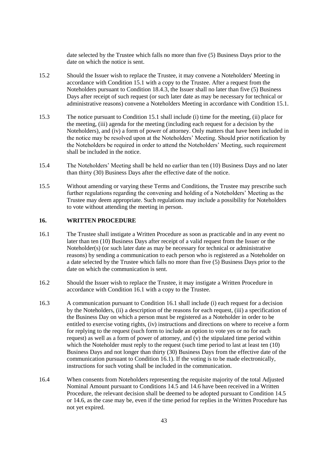date selected by the Trustee which falls no more than five (5) Business Days prior to the date on which the notice is sent.

- 15.2 Should the Issuer wish to replace the Trustee, it may convene a Noteholders' Meeting in accordance with Condition [15.1](#page-43-2) with a copy to the Trustee. After a request from the Noteholders pursuant to Condition [18.4.3,](#page-47-0) the Issuer shall no later than five (5) Business Days after receipt of such request (or such later date as may be necessary for technical or administrative reasons) convene a Noteholders Meeting in accordance with Condition [15.1.](#page-43-2)
- 15.3 The notice pursuant to Condition [15.1](#page-43-2) shall include (i) time for the meeting, (ii) place for the meeting, (iii) agenda for the meeting (including each request for a decision by the Noteholders), and (iv) a form of power of attorney. Only matters that have been included in the notice may be resolved upon at the Noteholders' Meeting. Should prior notification by the Noteholders be required in order to attend the Noteholders' Meeting, such requirement shall be included in the notice.
- 15.4 The Noteholders' Meeting shall be held no earlier than ten (10) Business Days and no later than thirty (30) Business Days after the effective date of the notice.
- 15.5 Without amending or varying these Terms and Conditions, the Trustee may prescribe such further regulations regarding the convening and holding of a Noteholders' Meeting as the Trustee may deem appropriate. Such regulations may include a possibility for Noteholders to vote without attending the meeting in person.

# <span id="page-44-0"></span>**16. WRITTEN PROCEDURE**

- <span id="page-44-2"></span>16.1 The Trustee shall instigate a Written Procedure as soon as practicable and in any event no later than ten (10) Business Days after receipt of a valid request from the Issuer or the Noteholder(s) (or such later date as may be necessary for technical or administrative reasons) by sending a communication to each person who is registered as a Noteholder on a date selected by the Trustee which falls no more than five (5) Business Days prior to the date on which the communication is sent.
- <span id="page-44-1"></span>16.2 Should the Issuer wish to replace the Trustee, it may instigate a Written Procedure in accordance with Condition [16.1](#page-44-2) with a copy to the Trustee.
- 16.3 A communication pursuant to Condition [16.1](#page-44-2) shall include (i) each request for a decision by the Noteholders, (ii) a description of the reasons for each request, (iii) a specification of the Business Day on which a person must be registered as a Noteholder in order to be entitled to exercise voting rights, (iv) instructions and directions on where to receive a form for replying to the request (such form to include an option to vote yes or no for each request) as well as a form of power of attorney, and (v) the stipulated time period within which the Noteholder must reply to the request (such time period to last at least ten (10) Business Days and not longer than thirty (30) Business Days from the effective date of the communication pursuant to Condition [16.1\)](#page-44-2). If the voting is to be made electronically, instructions for such voting shall be included in the communication.
- 16.4 When consents from Noteholders representing the requisite majority of the total Adjusted Nominal Amount pursuant to Conditions [14.5](#page-41-1) and [14.6](#page-42-2) have been received in a Written Procedure, the relevant decision shall be deemed to be adopted pursuant to Condition [14.5](#page-41-1) or [14.6,](#page-42-2) as the case may be, even if the time period for replies in the Written Procedure has not yet expired.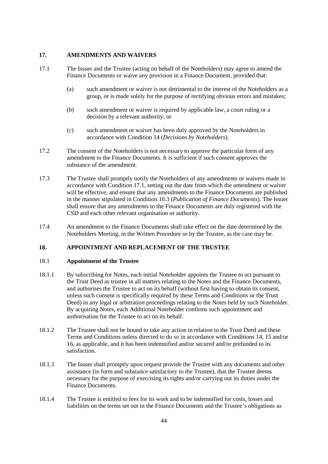# **17. AMENDMENTS AND WAIVERS**

- <span id="page-45-1"></span><span id="page-45-0"></span>17.1 The Issuer and the Trustee (acting on behalf of the Noteholders) may agree to amend the Finance Documents or waive any provision in a Finance Document, provided that:
	- (a) such amendment or waiver is not detrimental to the interest of the Noteholders as a group, or is made solely for the purpose of rectifying obvious errors and mistakes;
	- (b) such amendment or waiver is required by applicable law, a court ruling or a decision by a relevant authority; or
	- (c) such amendment or waiver has been duly approved by the Noteholders in accordance with Condition [14](#page-41-0) (*Decisions by Noteholders*).
- 17.2 The consent of the Noteholders is not necessary to approve the particular form of any amendment to the Finance Documents. It is sufficient if such consent approves the substance of the amendment.
- <span id="page-45-2"></span>17.3 The Trustee shall promptly notify the Noteholders of any amendments or waivers made in accordance with Condition [17.1,](#page-45-0) setting out the date from which the amendment or waiver will be effective, and ensure that any amendments to the Finance Documents are published in the manner stipulated in Condition [10.3](#page-34-1) (*Publication of Finance Documents*). The Issuer shall ensure that any amendments to the Finance Documents are duly registered with the CSD and each other relevant organisation or authority.
- 17.4 An amendment to the Finance Documents shall take effect on the date determined by the Noteholders Meeting, in the Written Procedure or by the Trustee, as the case may be.

# **18. APPOINTMENT AND REPLACEMENT OF THE TRUSTEE**

#### 18.1 **Appointment of the Trustee**

- 18.1.1 By subscribing for Notes, each initial Noteholder appoints the Trustee to act pursuant to the Trust Deed as trustee in all matters relating to the Notes and the Finance Documents, and authorises the Trustee to act on its behalf (without first having to obtain its consent, unless such consent is specifically required by these Terms and Conditions or the Trust Deed) in any legal or arbitration proceedings relating to the Notes held by such Noteholder. By acquiring Notes, each Additional Noteholder confirms such appointment and authorisation for the Trustee to act on its behalf.
- 18.1.2 The Trustee shall not be bound to take any action in relation to the Trust Deed and these Terms and Conditions unless directed to do so in accordance with Conditions [14,](#page-41-0) [15](#page-43-0) and/or [16,](#page-44-0) as applicable, and it has been indemnified and/or secured and/or prefunded to its satisfaction.
- 18.1.3 The Issuer shall promptly upon request provide the Trustee with any documents and other assistance (in form and substance satisfactory to the Trustee), that the Trustee deems necessary for the purpose of exercising its rights and/or carrying out its duties under the Finance Documents.
- 18.1.4 The Trustee is entitled to fees for its work and to be indemnified for costs, losses and liabilities on the terms set out in the Finance Documents and the Trustee's obligations as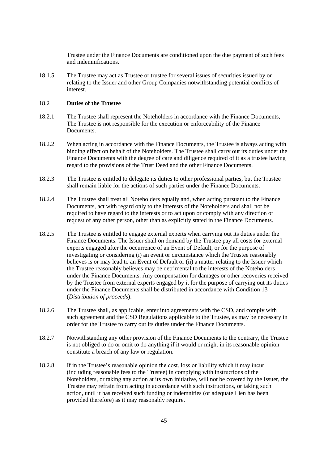Trustee under the Finance Documents are conditioned upon the due payment of such fees and indemnifications.

18.1.5 The Trustee may act as Trustee or trustee for several issues of securities issued by or relating to the Issuer and other Group Companies notwithstanding potential conflicts of interest.

## 18.2 **Duties of the Trustee**

- 18.2.1 The Trustee shall represent the Noteholders in accordance with the Finance Documents, The Trustee is not responsible for the execution or enforceability of the Finance **Documents**
- 18.2.2 When acting in accordance with the Finance Documents, the Trustee is always acting with binding effect on behalf of the Noteholders. The Trustee shall carry out its duties under the Finance Documents with the degree of care and diligence required of it as a trustee having regard to the provisions of the Trust Deed and the other Finance Documents.
- 18.2.3 The Trustee is entitled to delegate its duties to other professional parties, but the Trustee shall remain liable for the actions of such parties under the Finance Documents.
- 18.2.4 The Trustee shall treat all Noteholders equally and, when acting pursuant to the Finance Documents, act with regard only to the interests of the Noteholders and shall not be required to have regard to the interests or to act upon or comply with any direction or request of any other person, other than as explicitly stated in the Finance Documents.
- <span id="page-46-0"></span>18.2.5 The Trustee is entitled to engage external experts when carrying out its duties under the Finance Documents. The Issuer shall on demand by the Trustee pay all costs for external experts engaged after the occurrence of an Event of Default, or for the purpose of investigating or considering (i) an event or circumstance which the Trustee reasonably believes is or may lead to an Event of Default or (ii) a matter relating to the Issuer which the Trustee reasonably believes may be detrimental to the interests of the Noteholders under the Finance Documents. Any compensation for damages or other recoveries received by the Trustee from external experts engaged by it for the purpose of carrying out its duties under the Finance Documents shall be distributed in accordance with Condition [13](#page-40-0) (*Distribution of proceeds*).
- 18.2.6 The Trustee shall, as applicable, enter into agreements with the CSD, and comply with such agreement and the CSD Regulations applicable to the Trustee, as may be necessary in order for the Trustee to carry out its duties under the Finance Documents.
- 18.2.7 Notwithstanding any other provision of the Finance Documents to the contrary, the Trustee is not obliged to do or omit to do anything if it would or might in its reasonable opinion constitute a breach of any law or regulation.
- <span id="page-46-1"></span>18.2.8 If in the Trustee's reasonable opinion the cost, loss or liability which it may incur (including reasonable fees to the Trustee) in complying with instructions of the Noteholders, or taking any action at its own initiative, will not be covered by the Issuer, the Trustee may refrain from acting in accordance with such instructions, or taking such action, until it has received such funding or indemnities (or adequate Lien has been provided therefore) as it may reasonably require.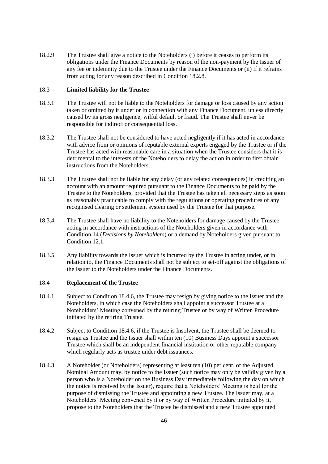18.2.9 The Trustee shall give a notice to the Noteholders (i) before it ceases to perform its obligations under the Finance Documents by reason of the non-payment by the Issuer of any fee or indemnity due to the Trustee under the Finance Documents or (ii) if it refrains from acting for any reason described in Condition [18.2.8.](#page-46-1)

## 18.3 **Limited liability for the Trustee**

- 18.3.1 The Trustee will not be liable to the Noteholders for damage or loss caused by any action taken or omitted by it under or in connection with any Finance Document, unless directly caused by its gross negligence, wilful default or fraud. The Trustee shall never be responsible for indirect or consequential loss.
- 18.3.2 The Trustee shall not be considered to have acted negligently if it has acted in accordance with advice from or opinions of reputable external experts engaged by the Trustee or if the Trustee has acted with reasonable care in a situation when the Trustee considers that it is detrimental to the interests of the Noteholders to delay the action in order to first obtain instructions from the Noteholders.
- 18.3.3 The Trustee shall not be liable for any delay (or any related consequences) in crediting an account with an amount required pursuant to the Finance Documents to be paid by the Trustee to the Noteholders, provided that the Trustee has taken all necessary steps as soon as reasonably practicable to comply with the regulations or operating procedures of any recognised clearing or settlement system used by the Trustee for that purpose.
- 18.3.4 The Trustee shall have no liability to the Noteholders for damage caused by the Trustee acting in accordance with instructions of the Noteholders given in accordance with Condition [14](#page-41-0) (*Decisions by Noteholders*) or a demand by Noteholders given pursuant to Condition [12.1.](#page-38-0)
- 18.3.5 Any liability towards the Issuer which is incurred by the Trustee in acting under, or in relation to, the Finance Documents shall not be subject to set-off against the obligations of the Issuer to the Noteholders under the Finance Documents.

### <span id="page-47-1"></span>18.4 **Replacement of the Trustee**

- 18.4.1 Subject to Condition [18.4.6,](#page-48-0) the Trustee may resign by giving notice to the Issuer and the Noteholders, in which case the Noteholders shall appoint a successor Trustee at a Noteholders' Meeting convened by the retiring Trustee or by way of Written Procedure initiated by the retiring Trustee.
- 18.4.2 Subject to Condition [18.4.6,](#page-48-0) if the Trustee is Insolvent, the Trustee shall be deemed to resign as Trustee and the Issuer shall within ten (10) Business Days appoint a successor Trustee which shall be an independent financial institution or other reputable company which regularly acts as trustee under debt issuances.
- <span id="page-47-0"></span>18.4.3 A Noteholder (or Noteholders) representing at least ten (10) per cent. of the Adjusted Nominal Amount may, by notice to the Issuer (such notice may only be validly given by a person who is a Noteholder on the Business Day immediately following the day on which the notice is received by the Issuer), require that a Noteholders' Meeting is held for the purpose of dismissing the Trustee and appointing a new Trustee. The Issuer may, at a Noteholders' Meeting convened by it or by way of Written Procedure initiated by it, propose to the Noteholders that the Trustee be dismissed and a new Trustee appointed.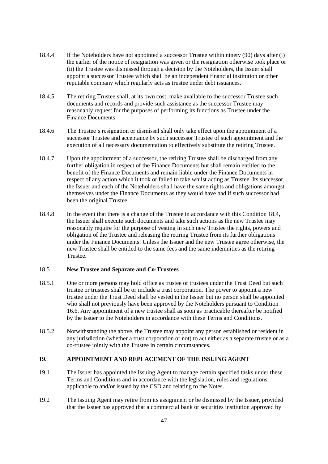- 18.4.4 If the Noteholders have not appointed a successor Trustee within ninety (90) days after (i) the earlier of the notice of resignation was given or the resignation otherwise took place or (ii) the Trustee was dismissed through a decision by the Noteholders, the Issuer shall appoint a successor Trustee which shall be an independent financial institution or other reputable company which regularly acts as trustee under debt issuances.
- 18.4.5 The retiring Trustee shall, at its own cost, make available to the successor Trustee such documents and records and provide such assistance as the successor Trustee may reasonably request for the purposes of performing its functions as Trustee under the Finance Documents.
- <span id="page-48-0"></span>18.4.6 The Trustee's resignation or dismissal shall only take effect upon the appointment of a successor Trustee and acceptance by such successor Trustee of such appointment and the execution of all necessary documentation to effectively substitute the retiring Trustee.
- 18.4.7 Upon the appointment of a successor, the retiring Trustee shall be discharged from any further obligation in respect of the Finance Documents but shall remain entitled to the benefit of the Finance Documents and remain liable under the Finance Documents in respect of any action which it took or failed to take whilst acting as Trustee. Its successor, the Issuer and each of the Noteholders shall have the same rights and obligations amongst themselves under the Finance Documents as they would have had if such successor had been the original Trustee.
- 18.4.8 In the event that there is a change of the Trustee in accordance with this Condition [18.4,](#page-47-1) the Issuer shall execute such documents and take such actions as the new Trustee may reasonably require for the purpose of vesting in such new Trustee the rights, powers and obligation of the Trustee and releasing the retiring Trustee from its further obligations under the Finance Documents. Unless the Issuer and the new Trustee agree otherwise, the new Trustee shall be entitled to the same fees and the same indemnities as the retiring Trustee.

# 18.5 **New Trustee and Separate and Co-Trustees**

- 18.5.1 One or more persons may hold office as trustee or trustees under the Trust Deed but such trustee or trustees shall be or include a trust corporation. The power to appoint a new trustee under the Trust Deed shall be vested in the Issuer but no person shall be appointed who shall not previously have been approved by the Noteholders pursuant to Condition 16.6. Any appointment of a new trustee shall as soon as practicable thereafter be notified by the Issuer to the Noteholders in accordance with these Terms and Conditions.
- 18.5.2 Notwithstanding the above, the Trustee may appoint any person established or resident in any jurisdiction (whether a trust corporation or not) to act either as a separate trustee or as a co-trustee jointly with the Trustee in certain circumstances.

# **19. APPOINTMENT AND REPLACEMENT OF THE ISSUING AGENT**

- 19.1 The Issuer has appointed the Issuing Agent to manage certain specified tasks under these Terms and Conditions and in accordance with the legislation, rules and regulations applicable to and/or issued by the CSD and relating to the Notes.
- 19.2 The Issuing Agent may retire from its assignment or be dismissed by the Issuer, provided that the Issuer has approved that a commercial bank or securities institution approved by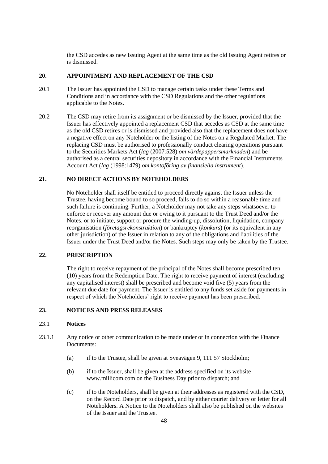the CSD accedes as new Issuing Agent at the same time as the old Issuing Agent retires or is dismissed.

# **20. APPOINTMENT AND REPLACEMENT OF THE CSD**

- 20.1 The Issuer has appointed the CSD to manage certain tasks under these Terms and Conditions and in accordance with the CSD Regulations and the other regulations applicable to the Notes.
- 20.2 The CSD may retire from its assignment or be dismissed by the Issuer, provided that the Issuer has effectively appointed a replacement CSD that accedes as CSD at the same time as the old CSD retires or is dismissed and provided also that the replacement does not have a negative effect on any Noteholder or the listing of the Notes on a Regulated Market. The replacing CSD must be authorised to professionally conduct clearing operations pursuant to the Securities Markets Act (*lag* (2007:528) *om värdepappersmarknaden*) and be authorised as a central securities depository in accordance with the Financial Instruments Account Act (*lag* (1998:1479) *om kontoföring av finansiella instrument*).

## **21. NO DIRECT ACTIONS BY NOTEHOLDERS**

No Noteholder shall itself be entitled to proceed directly against the Issuer unless the Trustee, having become bound to so proceed, fails to do so within a reasonable time and such failure is continuing. Further, a Noteholder may not take any steps whatsoever to enforce or recover any amount due or owing to it pursuant to the Trust Deed and/or the Notes, or to initiate, support or procure the winding-up, dissolution, liquidation, company reorganisation (*företagsrekonstruktion*) or bankruptcy (*konkurs*) (or its equivalent in any other jurisdiction) of the Issuer in relation to any of the obligations and liabilities of the Issuer under the Trust Deed and/or the Notes. Such steps may only be taken by the Trustee.

#### **22. PRESCRIPTION**

The right to receive repayment of the principal of the Notes shall become prescribed ten (10) years from the Redemption Date. The right to receive payment of interest (excluding any capitalised interest) shall be prescribed and become void five (5) years from the relevant due date for payment. The Issuer is entitled to any funds set aside for payments in respect of which the Noteholders' right to receive payment has been prescribed.

# <span id="page-49-0"></span>**23. NOTICES AND PRESS RELEASES**

## 23.1 **Notices**

- <span id="page-49-1"></span>23.1.1 Any notice or other communication to be made under or in connection with the Finance Documents:
	- (a) if to the Trustee, shall be given at Sveavägen 9, 111 57 Stockholm;
	- (b) if to the Issuer, shall be given at the address specified on its website www.millicom.com on the Business Day prior to dispatch; and
	- (c) if to the Noteholders, shall be given at their addresses as registered with the CSD, on the Record Date prior to dispatch, and by either courier delivery or letter for all Noteholders. A Notice to the Noteholders shall also be published on the websites of the Issuer and the Trustee.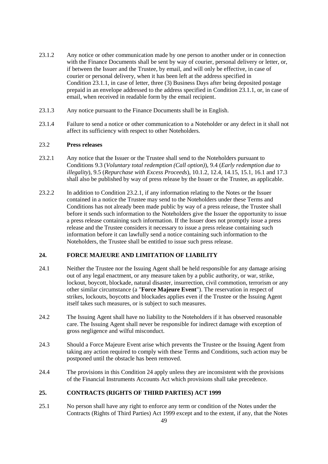- 23.1.2 Any notice or other communication made by one person to another under or in connection with the Finance Documents shall be sent by way of courier, personal delivery or letter, or, if between the Issuer and the Trustee, by email, and will only be effective, in case of courier or personal delivery, when it has been left at the address specified in Condition [23.1.1,](#page-49-1) in case of letter, three (3) Business Days after being deposited postage prepaid in an envelope addressed to the address specified in Condition [23.1.1,](#page-49-1) or, in case of email, when received in readable form by the email recipient.
- 23.1.3 Any notice pursuant to the Finance Documents shall be in English.
- 23.1.4 Failure to send a notice or other communication to a Noteholder or any defect in it shall not affect its sufficiency with respect to other Noteholders.

### 23.2 **Press releases**

- <span id="page-50-1"></span>23.2.1 Any notice that the Issuer or the Trustee shall send to the Noteholders pursuant to Conditions [9.3](#page-29-6) (*Voluntary total redemption (Call option)*), [9.4](#page-30-4) (*Early redemption due to illegality*), [9.5](#page-30-3) (*Repurchase with Excess Proceeds*), [10.1.2,](#page-33-0) [12.4,](#page-40-3) [14.15,](#page-43-3) [15.1,](#page-43-2) [16.1](#page-44-2) and [17.3](#page-45-2) shall also be published by way of press release by the Issuer or the Trustee, as applicable.
- 23.2.2 In addition to Condition [23.2.1,](#page-50-1) if any information relating to the Notes or the Issuer contained in a notice the Trustee may send to the Noteholders under these Terms and Conditions has not already been made public by way of a press release, the Trustee shall before it sends such information to the Noteholders give the Issuer the opportunity to issue a press release containing such information. If the Issuer does not promptly issue a press release and the Trustee considers it necessary to issue a press release containing such information before it can lawfully send a notice containing such information to the Noteholders, the Trustee shall be entitled to issue such press release.

# <span id="page-50-2"></span>**24. FORCE MAJEURE AND LIMITATION OF LIABILITY**

- <span id="page-50-0"></span>24.1 Neither the Trustee nor the Issuing Agent shall be held responsible for any damage arising out of any legal enactment, or any measure taken by a public authority, or war, strike, lockout, boycott, blockade, natural disaster, insurrection, civil commotion, terrorism or any other similar circumstance (a "**Force Majeure Event**"). The reservation in respect of strikes, lockouts, boycotts and blockades applies even if the Trustee or the Issuing Agent itself takes such measures, or is subject to such measures.
- 24.2 The Issuing Agent shall have no liability to the Noteholders if it has observed reasonable care. The Issuing Agent shall never be responsible for indirect damage with exception of gross negligence and wilful misconduct.
- 24.3 Should a Force Majeure Event arise which prevents the Trustee or the Issuing Agent from taking any action required to comply with these Terms and Conditions, such action may be postponed until the obstacle has been removed.
- 24.4 The provisions in this Condition [24](#page-50-2) apply unless they are inconsistent with the provisions of the Financial Instruments Accounts Act which provisions shall take precedence.

# **25. CONTRACTS (RIGHTS OF THIRD PARTIES) ACT 1999**

25.1 No person shall have any right to enforce any term or condition of the Notes under the Contracts (Rights of Third Parties) Act 1999 except and to the extent, if any, that the Notes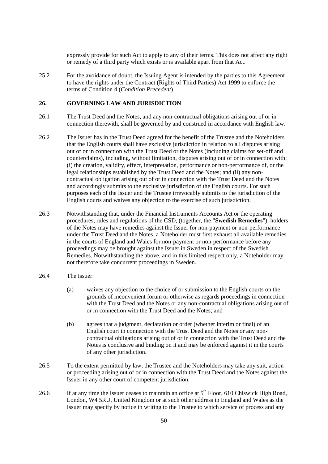expressly provide for such Act to apply to any of their terms. This does not affect any right or remedy of a third party which exists or is available apart from that Act.

25.2 For the avoidance of doubt, the Issuing Agent is intended by the parties to this Agreement to have the rights under the Contract (Rights of Third Parties) Act 1999 to enforce the terms of Condition [4](#page-27-3) (*Condition Precedent*)

#### **26. GOVERNING LAW AND JURISDICTION**

- 26.1 The Trust Deed and the Notes, and any non-contractual obligations arising out of or in connection therewith, shall be governed by and construed in accordance with English law.
- 26.2 The Issuer has in the Trust Deed agreed for the benefit of the Trustee and the Noteholders that the English courts shall have exclusive jurisdiction in relation to all disputes arising out of or in connection with the Trust Deed or the Notes (including claims for set-off and counterclaims), including, without limitation, disputes arising out of or in connection with: (i) the creation, validity, effect, interpretation, performance or non-performance of, or the legal relationships established by the Trust Deed and the Notes; and (ii) any noncontractual obligation arising out of or in connection with the Trust Deed and the Notes and accordingly submits to the exclusive jurisdiction of the English courts. For such purposes each of the Issuer and the Trustee irrevocably submits to the jurisdiction of the English courts and waives any objection to the exercise of such jurisdiction.
- 26.3 Notwithstanding that, under the Financial Instruments Accounts Act or the operating procedures, rules and regulations of the CSD, (together, the "**Swedish Remedies**"), holders of the Notes may have remedies against the Issuer for non-payment or non-performance under the Trust Deed and the Notes, a Noteholder must first exhaust all available remedies in the courts of England and Wales for non-payment or non-performance before any proceedings may be brought against the Issuer in Sweden in respect of the Swedish Remedies. Notwithstanding the above, and in this limited respect only, a Noteholder may not therefore take concurrent proceedings in Sweden.
- 26.4 The Issuer:
	- (a) waives any objection to the choice of or submission to the English courts on the grounds of inconvenient forum or otherwise as regards proceedings in connection with the Trust Deed and the Notes or any non-contractual obligations arising out of or in connection with the Trust Deed and the Notes; and
	- (b) agrees that a judgment, declaration or order (whether interim or final) of an English court in connection with the Trust Deed and the Notes or any noncontractual obligations arising out of or in connection with the Trust Deed and the Notes is conclusive and binding on it and may be enforced against it in the courts of any other jurisdiction.
- 26.5 To the extent permitted by law, the Trustee and the Noteholders may take any suit, action or proceeding arising out of or in connection with the Trust Deed and the Notes against the Issuer in any other court of competent jurisdiction.
- 26.6 If at any time the Issuer ceases to maintain an office at 5<sup>th</sup> Floor, 610 Chiswick High Road. London, W4 5RU, United Kingdom or at such other address in England and Wales as the Issuer may specify by notice in writing to the Trustee to which service of process and any